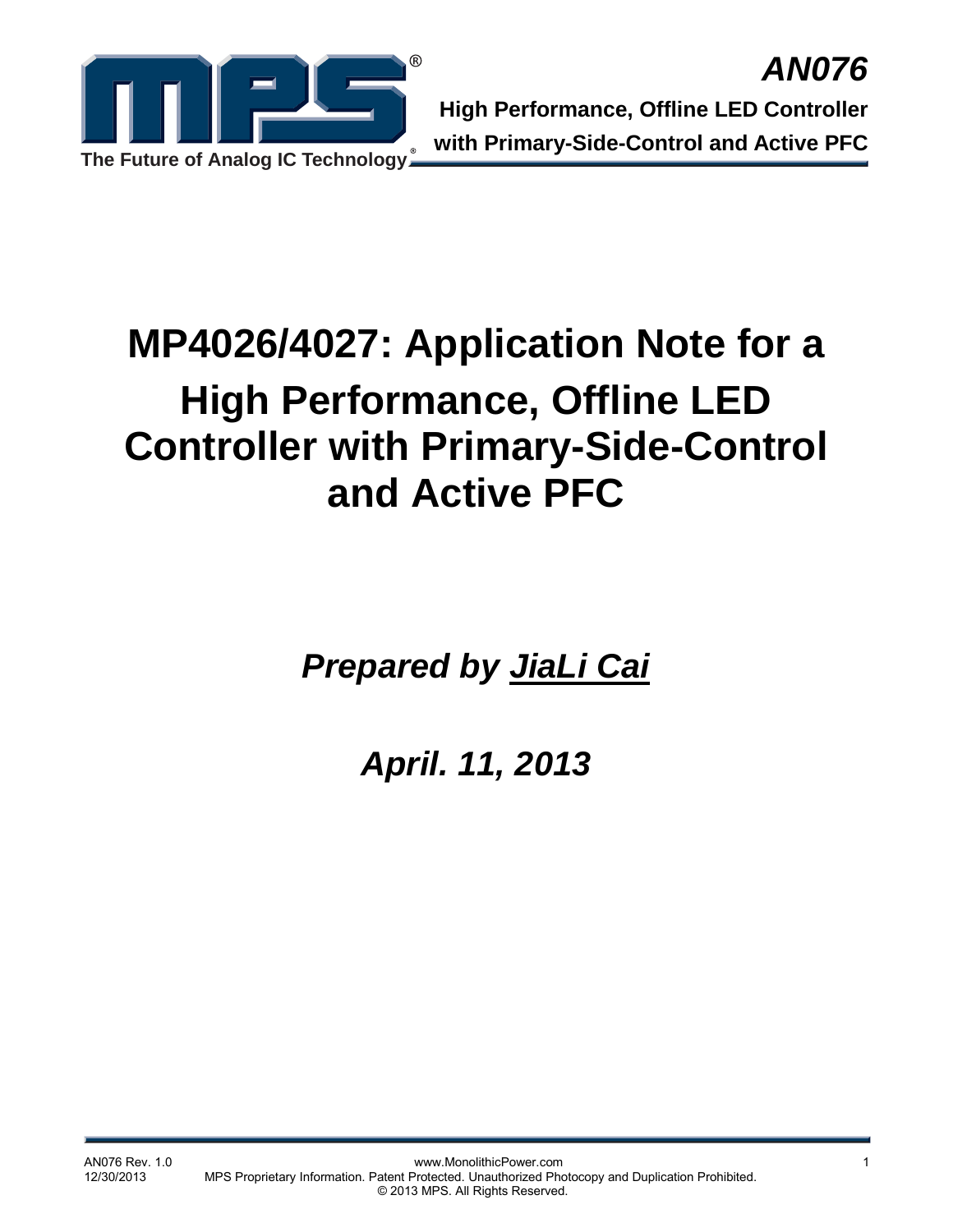

# **MP4026/4027: Application Note for a High Performance, Offline LED Controller with Primary-Side-Control and Active PFC**

*Prepared by JiaLi Cai*

*April. 11, 2013*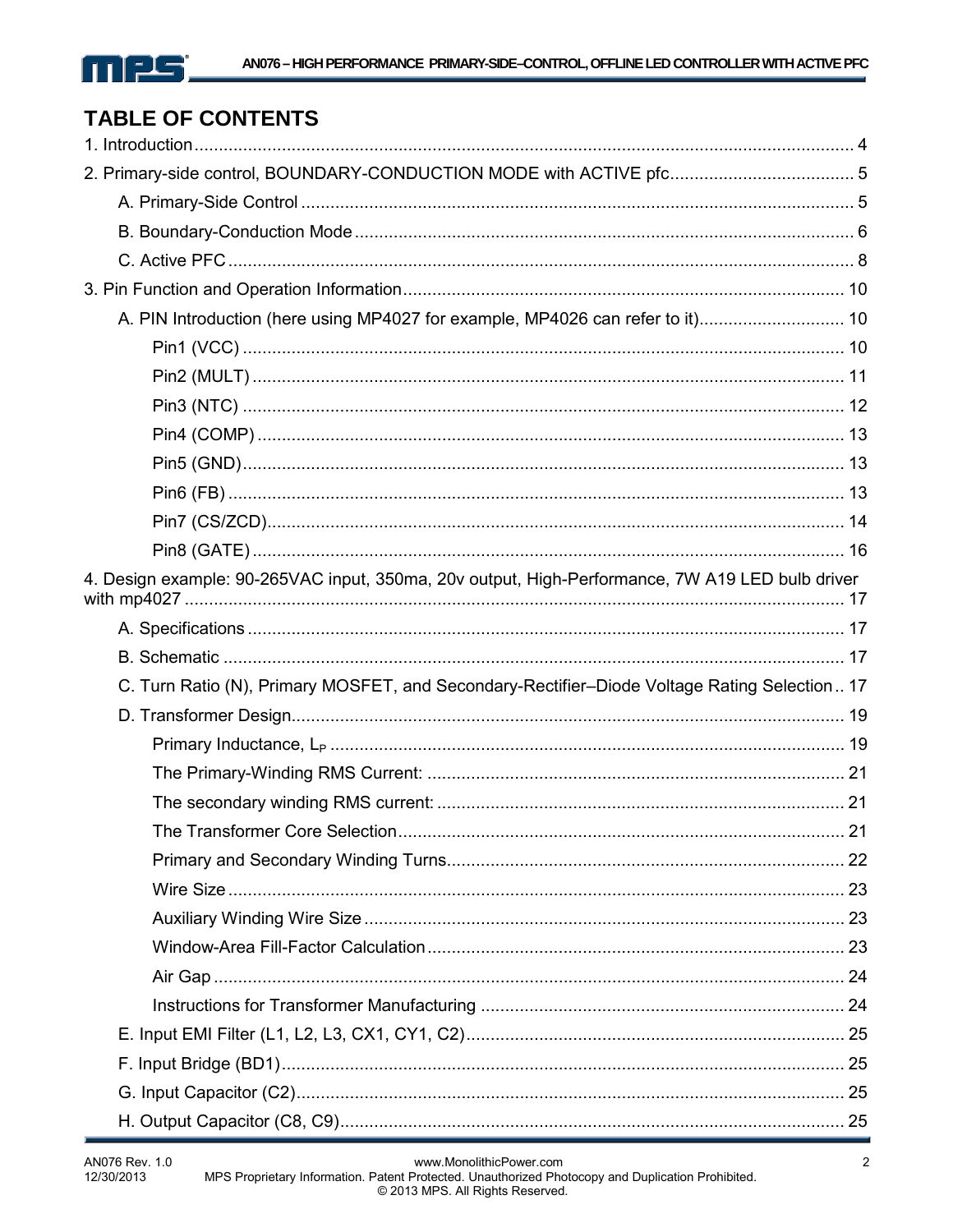

# **TABLE OF CONTENTS**

| 2. Primary-side control, BOUNDARY-CONDUCTION MODE with ACTIVE pfc 5                             |    |
|-------------------------------------------------------------------------------------------------|----|
|                                                                                                 |    |
|                                                                                                 |    |
|                                                                                                 |    |
|                                                                                                 |    |
|                                                                                                 |    |
|                                                                                                 |    |
|                                                                                                 |    |
|                                                                                                 |    |
|                                                                                                 |    |
|                                                                                                 |    |
|                                                                                                 |    |
|                                                                                                 |    |
|                                                                                                 |    |
| 4. Design example: 90-265VAC input, 350ma, 20v output, High-Performance, 7W A19 LED bulb driver |    |
|                                                                                                 |    |
|                                                                                                 |    |
| C. Turn Ratio (N), Primary MOSFET, and Secondary-Rectifier-Diode Voltage Rating Selection 17    |    |
|                                                                                                 |    |
|                                                                                                 |    |
|                                                                                                 |    |
|                                                                                                 |    |
| The Transformer Core Selection                                                                  | 21 |
|                                                                                                 |    |
|                                                                                                 |    |
|                                                                                                 |    |
|                                                                                                 |    |
|                                                                                                 |    |
|                                                                                                 |    |
|                                                                                                 |    |
|                                                                                                 |    |
|                                                                                                 |    |
|                                                                                                 |    |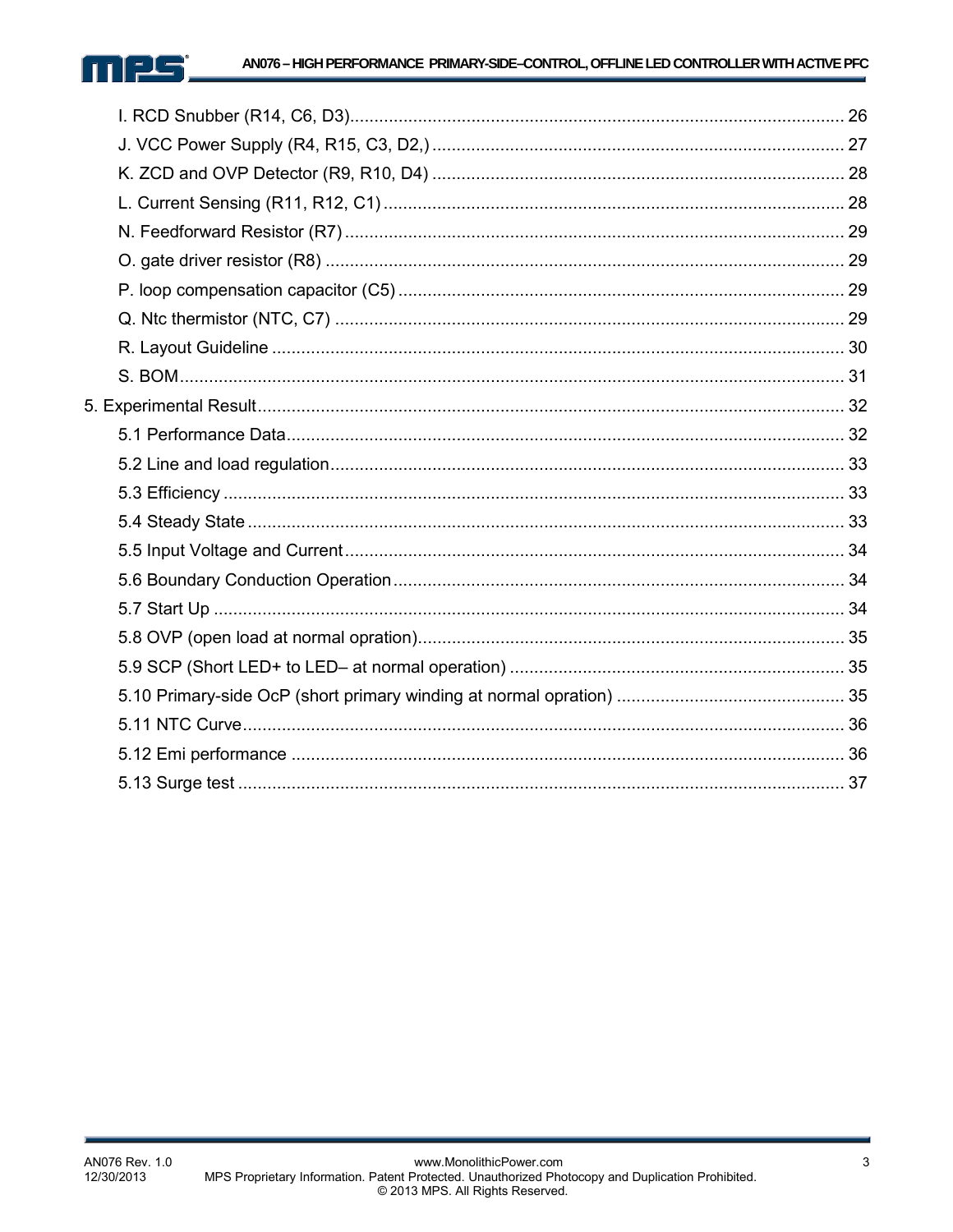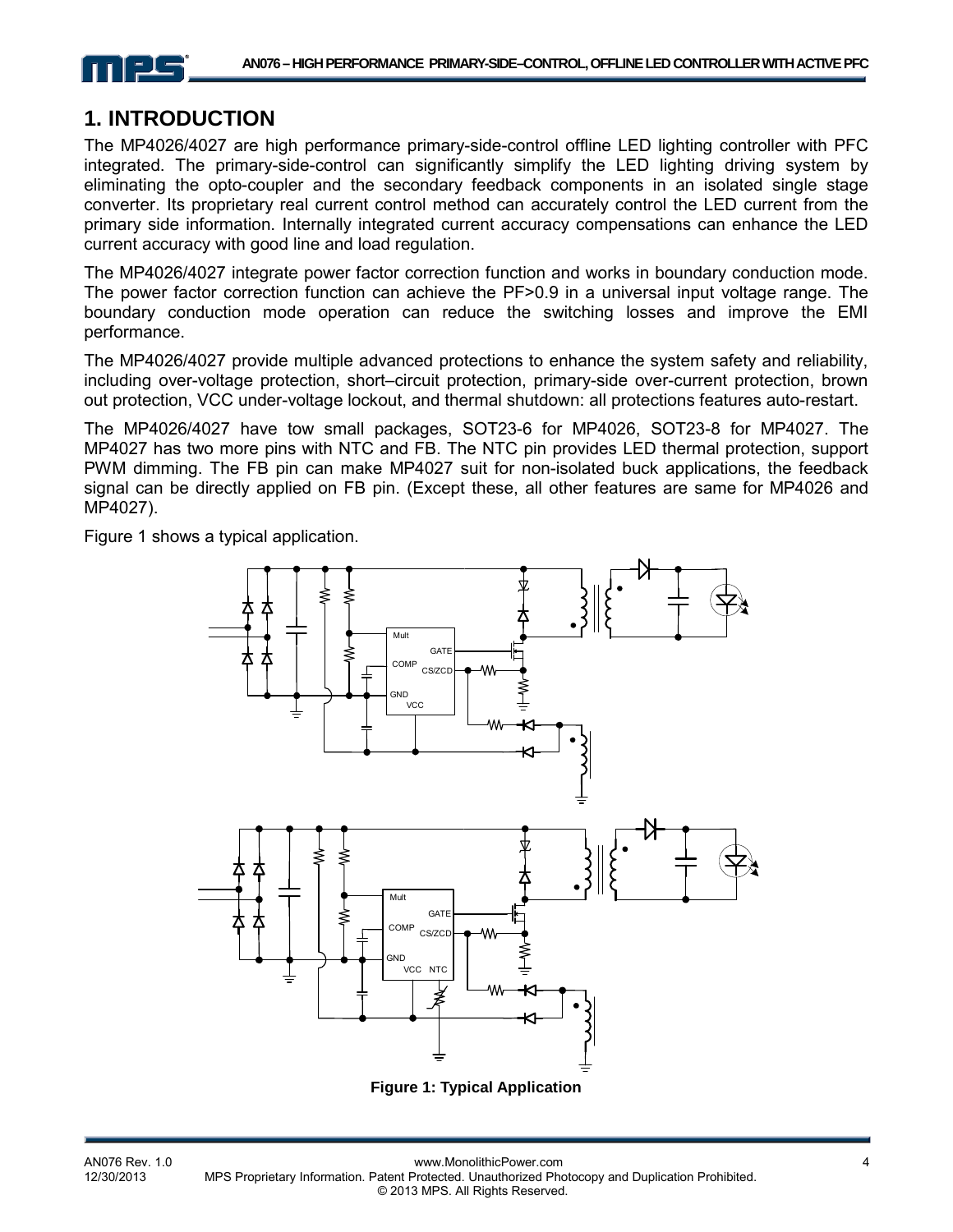

# **1. INTRODUCTION**

The MP4026/4027 are high performance primary-side-control offline LED lighting controller with PFC integrated. The primary-side-control can significantly simplify the LED lighting driving system by eliminating the opto-coupler and the secondary feedback components in an isolated single stage converter. Its proprietary real current control method can accurately control the LED current from the primary side information. Internally integrated current accuracy compensations can enhance the LED current accuracy with good line and load regulation.

The MP4026/4027 integrate power factor correction function and works in boundary conduction mode. The power factor correction function can achieve the PF>0.9 in a universal input voltage range. The boundary conduction mode operation can reduce the switching losses and improve the EMI performance.

The MP4026/4027 provide multiple advanced protections to enhance the system safety and reliability, including over-voltage protection, short–circuit protection, primary-side over-current protection, brown out protection, VCC under-voltage lockout, and thermal shutdown: all protections features auto-restart.

The MP4026/4027 have tow small packages, SOT23-6 for MP4026, SOT23-8 for MP4027. The MP4027 has two more pins with NTC and FB. The NTC pin provides LED thermal protection, support PWM dimming. The FB pin can make MP4027 suit for non-isolated buck applications, the feedback signal can be directly applied on FB pin. (Except these, all other features are same for MP4026 and MP4027).

Figure 1 shows a typical application.



**Figure 1: Typical Application**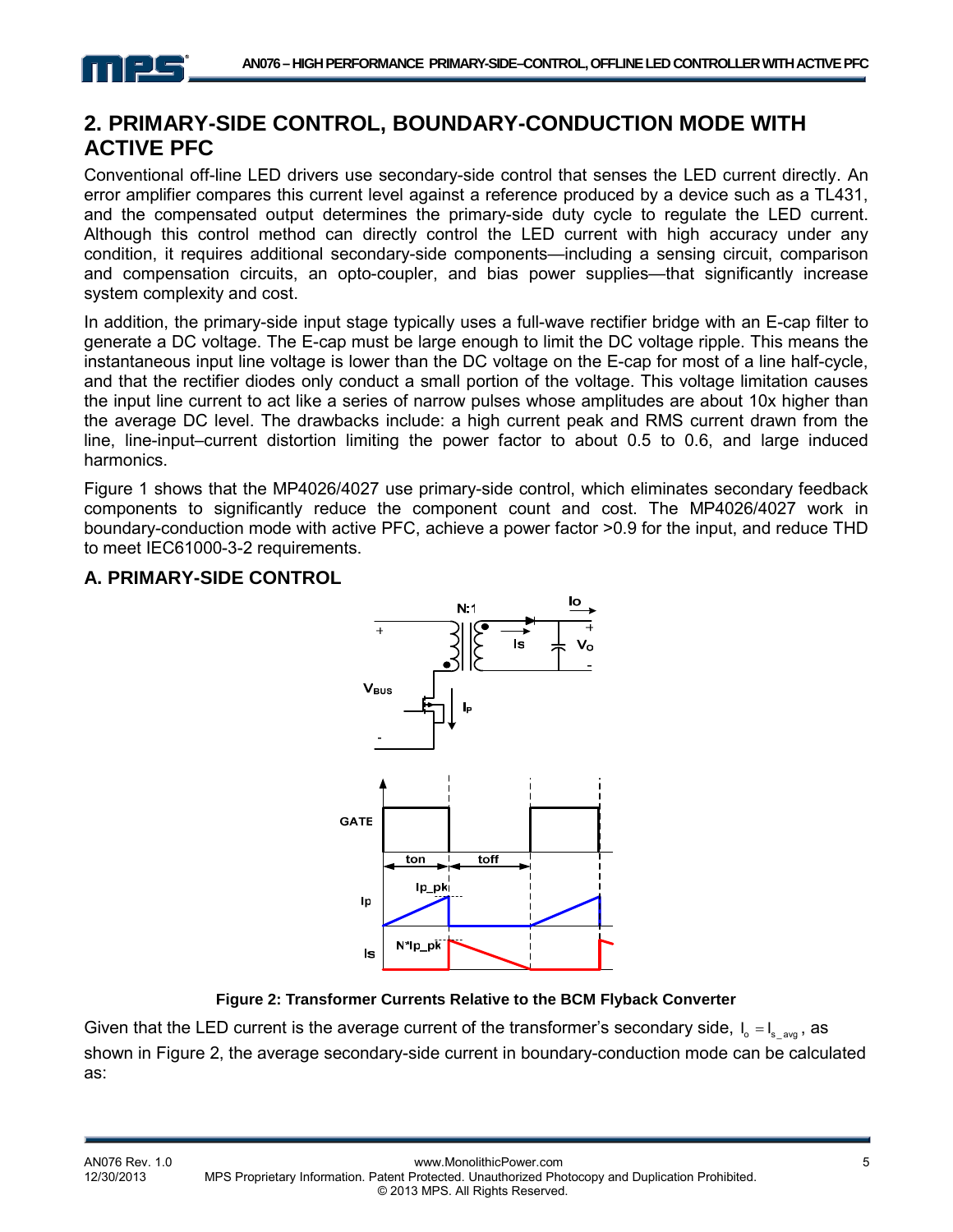

# **2. PRIMARY-SIDE CONTROL, BOUNDARY-CONDUCTION MODE WITH ACTIVE PFC**

Conventional off-line LED drivers use secondary-side control that senses the LED current directly. An error amplifier compares this current level against a reference produced by a device such as a TL431, and the compensated output determines the primary-side duty cycle to regulate the LED current. Although this control method can directly control the LED current with high accuracy under any condition, it requires additional secondary-side components—including a sensing circuit, comparison and compensation circuits, an opto-coupler, and bias power supplies—that significantly increase system complexity and cost.

In addition, the primary-side input stage typically uses a full-wave rectifier bridge with an E-cap filter to generate a DC voltage. The E-cap must be large enough to limit the DC voltage ripple. This means the instantaneous input line voltage is lower than the DC voltage on the E-cap for most of a line half-cycle, and that the rectifier diodes only conduct a small portion of the voltage. This voltage limitation causes the input line current to act like a series of narrow pulses whose amplitudes are about 10x higher than the average DC level. The drawbacks include: a high current peak and RMS current drawn from the line, line-input–current distortion limiting the power factor to about 0.5 to 0.6, and large induced harmonics.

Figure 1 shows that the MP4026/4027 use primary-side control, which eliminates secondary feedback components to significantly reduce the component count and cost. The MP4026/4027 work in boundary-conduction mode with active PFC, achieve a power factor >0.9 for the input, and reduce THD to meet IEC61000-3-2 requirements.

#### **A. PRIMARY-SIDE CONTROL**



#### **Figure 2: Transformer Currents Relative to the BCM Flyback Converter**

Given that the LED current is the average current of the transformer's secondary side,  $I_0 = I_{s_2}$ , as shown in Figure 2, the average secondary-side current in boundary-conduction mode can be calculated as: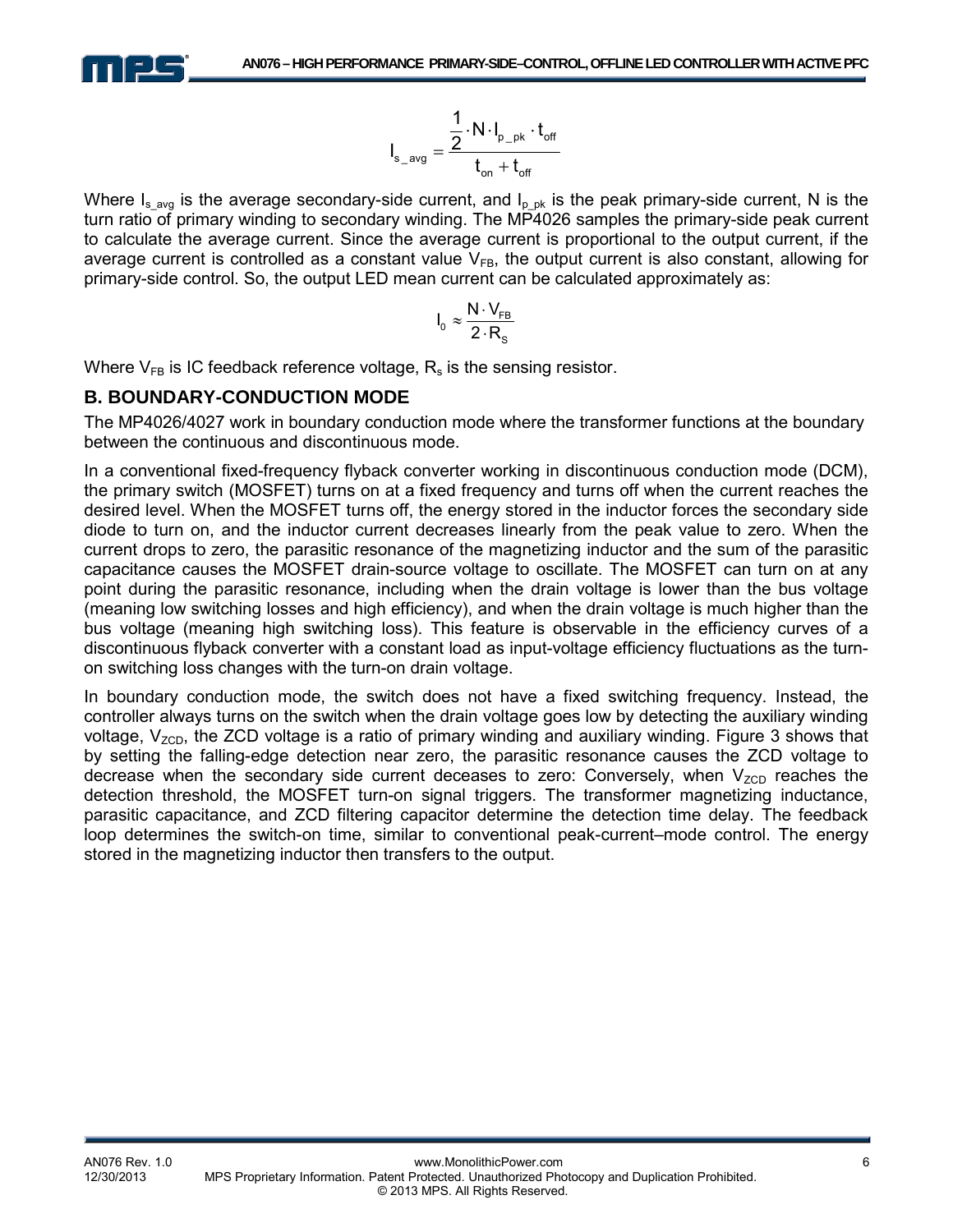

$$
I_{s\_{avg}} = \frac{\frac{1}{2} \cdot N \cdot I_{p\_pk} \cdot t_{\text{off}}}{t_{\text{on}} + t_{\text{off}}}
$$

Where  $I_{s}$  avg is the average secondary-side current, and  $I_{p}$  pk is the peak primary-side current, N is the turn ratio of primary winding to secondary winding. The MP4026 samples the primary-side peak current to calculate the average current. Since the average current is proportional to the output current, if the average current is controlled as a constant value  $V_{FB}$ , the output current is also constant, allowing for primary-side control. So, the output LED mean current can be calculated approximately as:

$$
I_0 \approx \frac{N \cdot V_{FB}}{2 \cdot R_s}
$$

Where  $V_{FB}$  is IC feedback reference voltage,  $R_s$  is the sensing resistor.

#### **B. BOUNDARY-CONDUCTION MODE**

The MP4026/4027 work in boundary conduction mode where the transformer functions at the boundary between the continuous and discontinuous mode.

In a conventional fixed-frequency flyback converter working in discontinuous conduction mode (DCM), the primary switch (MOSFET) turns on at a fixed frequency and turns off when the current reaches the desired level. When the MOSFET turns off, the energy stored in the inductor forces the secondary side diode to turn on, and the inductor current decreases linearly from the peak value to zero. When the current drops to zero, the parasitic resonance of the magnetizing inductor and the sum of the parasitic capacitance causes the MOSFET drain-source voltage to oscillate. The MOSFET can turn on at any point during the parasitic resonance, including when the drain voltage is lower than the bus voltage (meaning low switching losses and high efficiency), and when the drain voltage is much higher than the bus voltage (meaning high switching loss). This feature is observable in the efficiency curves of a discontinuous flyback converter with a constant load as input-voltage efficiency fluctuations as the turnon switching loss changes with the turn-on drain voltage.

In boundary conduction mode, the switch does not have a fixed switching frequency. Instead, the controller always turns on the switch when the drain voltage goes low by detecting the auxiliary winding voltage,  $V_{ZCD}$ , the ZCD voltage is a ratio of primary winding and auxiliary winding. Figure 3 shows that by setting the falling-edge detection near zero, the parasitic resonance causes the ZCD voltage to decrease when the secondary side current deceases to zero: Conversely, when  $V_{ZCD}$  reaches the detection threshold, the MOSFET turn-on signal triggers. The transformer magnetizing inductance, parasitic capacitance, and ZCD filtering capacitor determine the detection time delay. The feedback loop determines the switch-on time, similar to conventional peak-current–mode control. The energy stored in the magnetizing inductor then transfers to the output.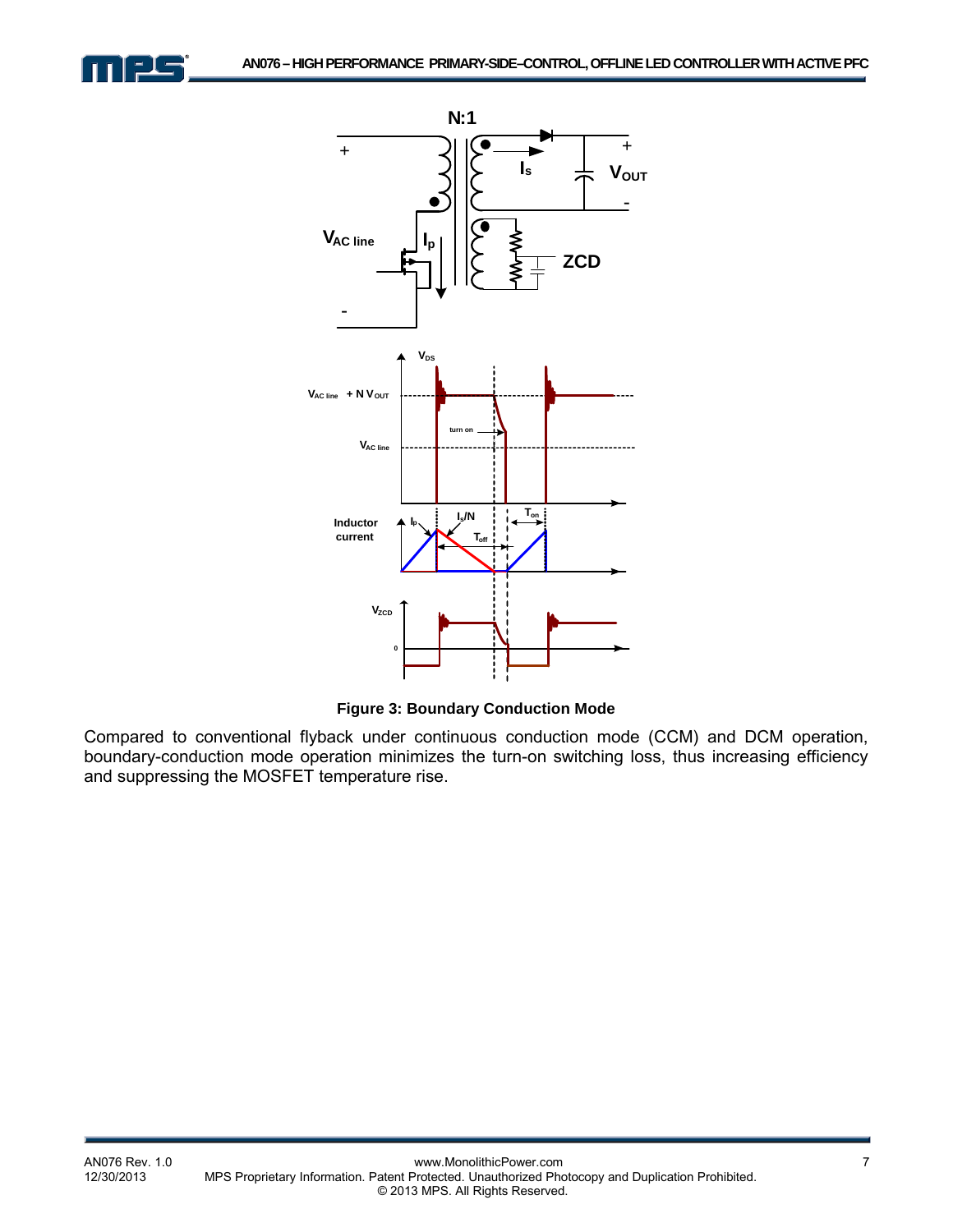



**Figure 3: Boundary Conduction Mode** 

Compared to conventional flyback under continuous conduction mode (CCM) and DCM operation, boundary-conduction mode operation minimizes the turn-on switching loss, thus increasing efficiency and suppressing the MOSFET temperature rise.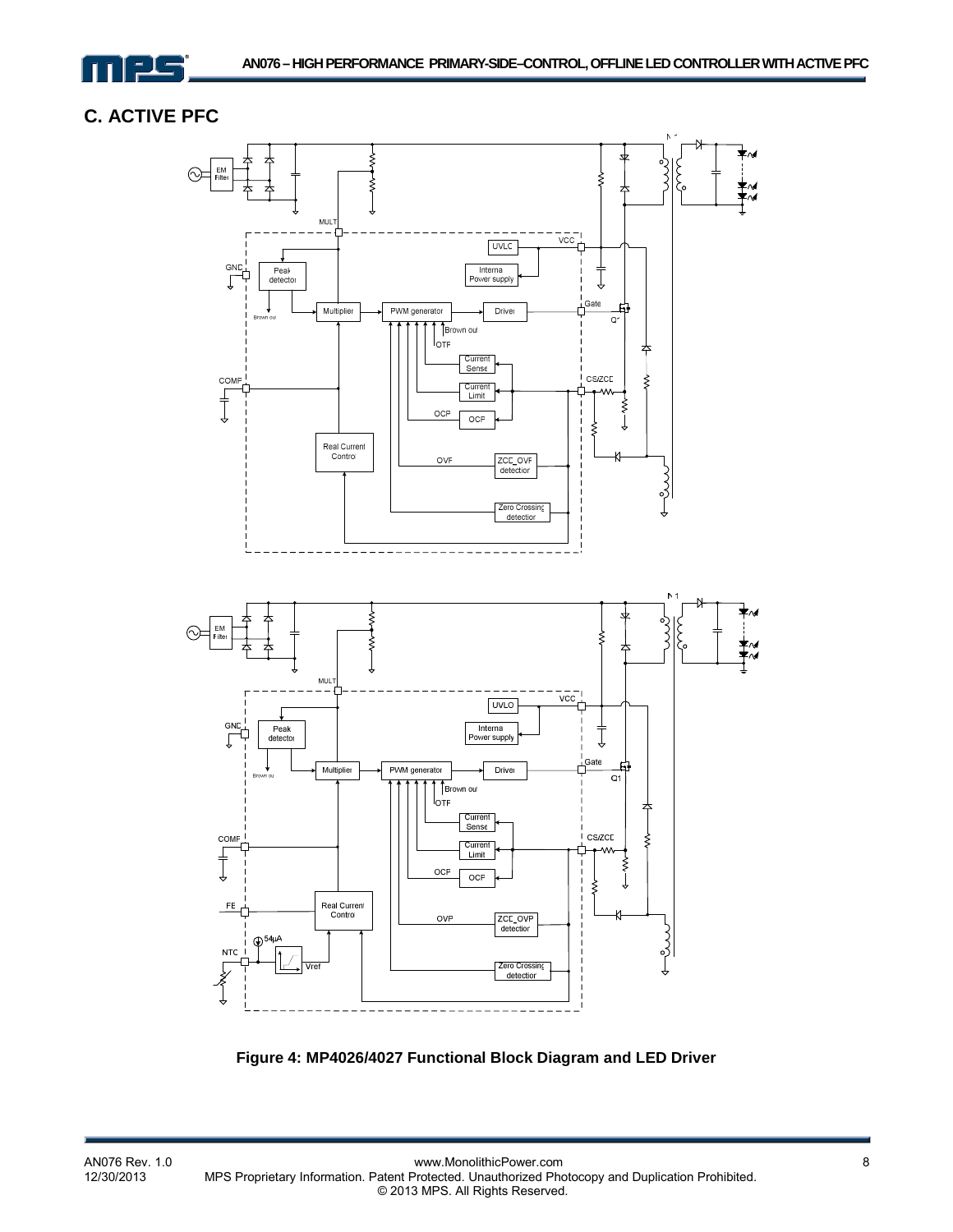

# **C. ACTIVE PFC**



**Figure 4: MP4026/4027 Functional Block Diagram and LED Driver**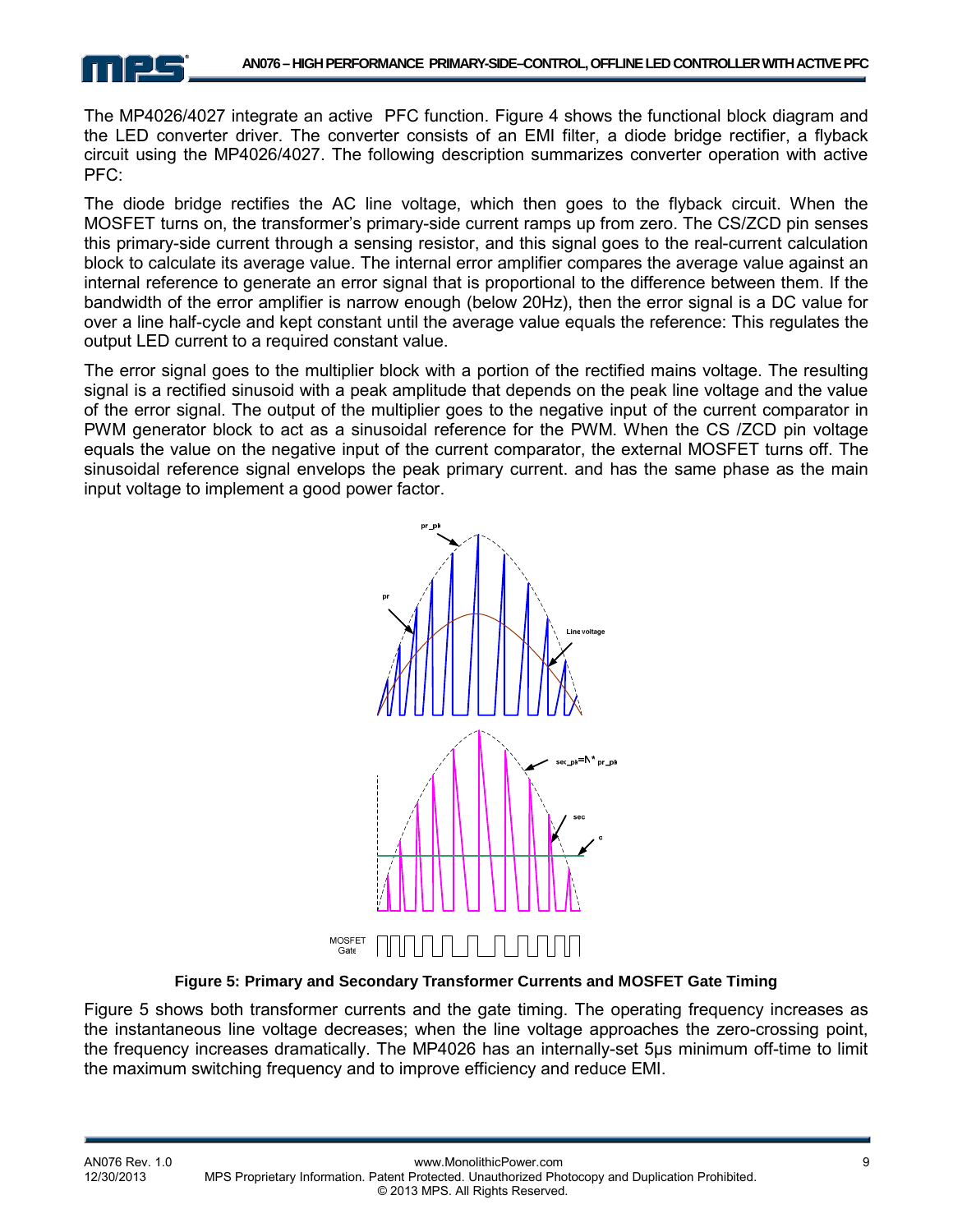

The MP4026/4027 integrate an active PFC function. Figure 4 shows the functional block diagram and the LED converter driver. The converter consists of an EMI filter, a diode bridge rectifier, a flyback circuit using the MP4026/4027. The following description summarizes converter operation with active PFC:

The diode bridge rectifies the AC line voltage, which then goes to the flyback circuit. When the MOSFET turns on, the transformer's primary-side current ramps up from zero. The CS/ZCD pin senses this primary-side current through a sensing resistor, and this signal goes to the real-current calculation block to calculate its average value. The internal error amplifier compares the average value against an internal reference to generate an error signal that is proportional to the difference between them. If the bandwidth of the error amplifier is narrow enough (below 20Hz), then the error signal is a DC value for over a line half-cycle and kept constant until the average value equals the reference: This regulates the output LED current to a required constant value.

The error signal goes to the multiplier block with a portion of the rectified mains voltage. The resulting signal is a rectified sinusoid with a peak amplitude that depends on the peak line voltage and the value of the error signal. The output of the multiplier goes to the negative input of the current comparator in PWM generator block to act as a sinusoidal reference for the PWM. When the CS /ZCD pin voltage equals the value on the negative input of the current comparator, the external MOSFET turns off. The sinusoidal reference signal envelops the peak primary current. and has the same phase as the main input voltage to implement a good power factor.



**Figure 5: Primary and Secondary Transformer Currents and MOSFET Gate Timing** 

Figure 5 shows both transformer currents and the gate timing. The operating frequency increases as the instantaneous line voltage decreases; when the line voltage approaches the zero-crossing point, the frequency increases dramatically. The MP4026 has an internally-set 5µs minimum off-time to limit the maximum switching frequency and to improve efficiency and reduce EMI.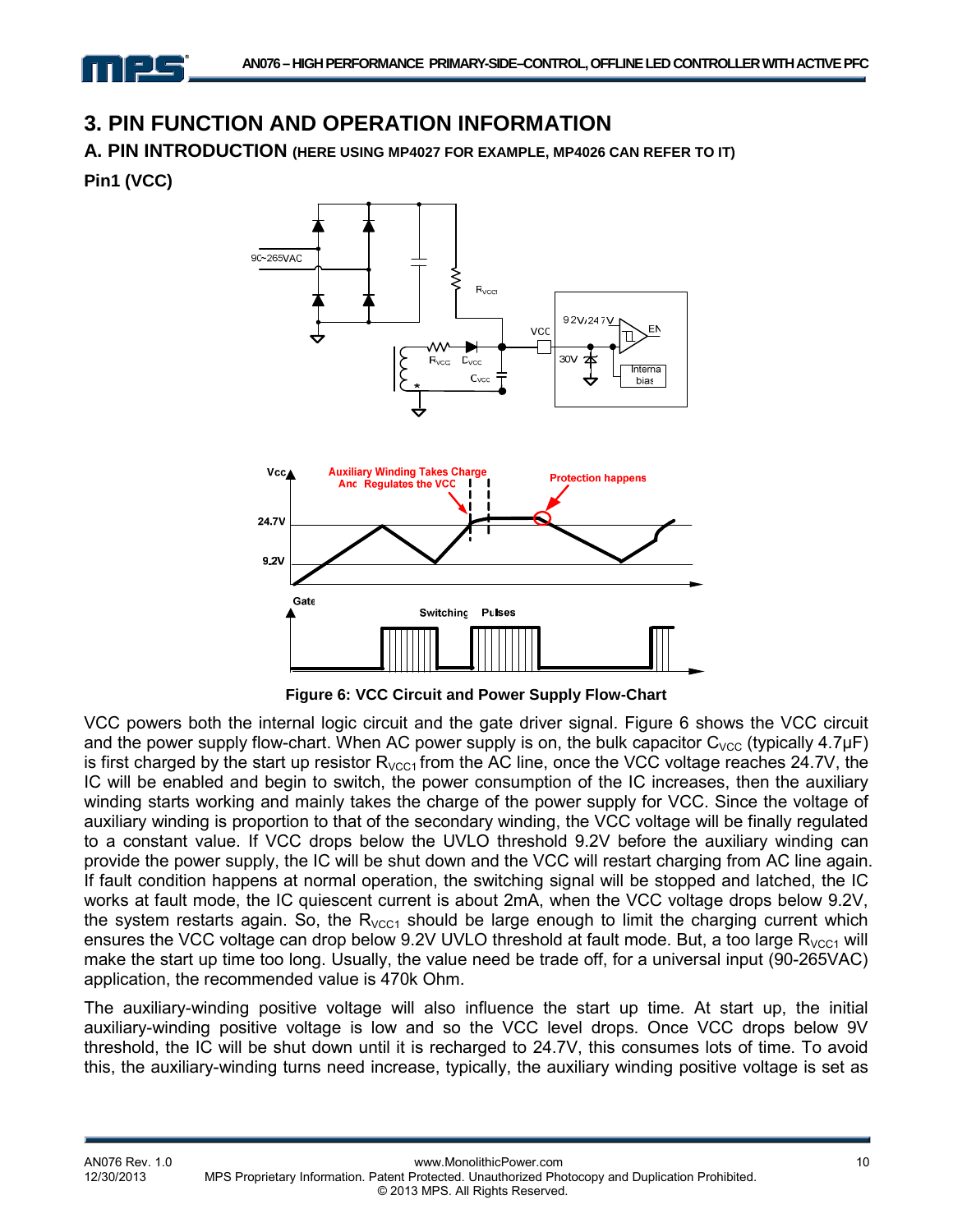# **3. PIN FUNCTION AND OPERATION INFORMATION**

**A. PIN INTRODUCTION (HERE USING MP4027 FOR EXAMPLE, MP4026 CAN REFER TO IT)**

**Pin1 (VCC)** 



**Figure 6: VCC Circuit and Power Supply Flow-Chart** 

VCC powers both the internal logic circuit and the gate driver signal. Figure 6 shows the VCC circuit and the power supply flow-chart. When AC power supply is on, the bulk capacitor  $C_{VCC}$  (typically 4.7 $\mu$ F) is first charged by the start up resistor  $R_{VCC1}$  from the AC line, once the VCC voltage reaches 24.7V, the IC will be enabled and begin to switch, the power consumption of the IC increases, then the auxiliary winding starts working and mainly takes the charge of the power supply for VCC. Since the voltage of auxiliary winding is proportion to that of the secondary winding, the VCC voltage will be finally regulated to a constant value. If VCC drops below the UVLO threshold 9.2V before the auxiliary winding can provide the power supply, the IC will be shut down and the VCC will restart charging from AC line again. If fault condition happens at normal operation, the switching signal will be stopped and latched, the IC works at fault mode, the IC quiescent current is about 2mA, when the VCC voltage drops below 9.2V, the system restarts again. So, the  $R_{VCC1}$  should be large enough to limit the charging current which ensures the VCC voltage can drop below 9.2V UVLO threshold at fault mode. But, a too large  $R_{VCC1}$  will make the start up time too long. Usually, the value need be trade off, for a universal input (90-265VAC) application, the recommended value is 470k Ohm.

The auxiliary-winding positive voltage will also influence the start up time. At start up, the initial auxiliary-winding positive voltage is low and so the VCC level drops. Once VCC drops below 9V threshold, the IC will be shut down until it is recharged to 24.7V, this consumes lots of time. To avoid this, the auxiliary-winding turns need increase, typically, the auxiliary winding positive voltage is set as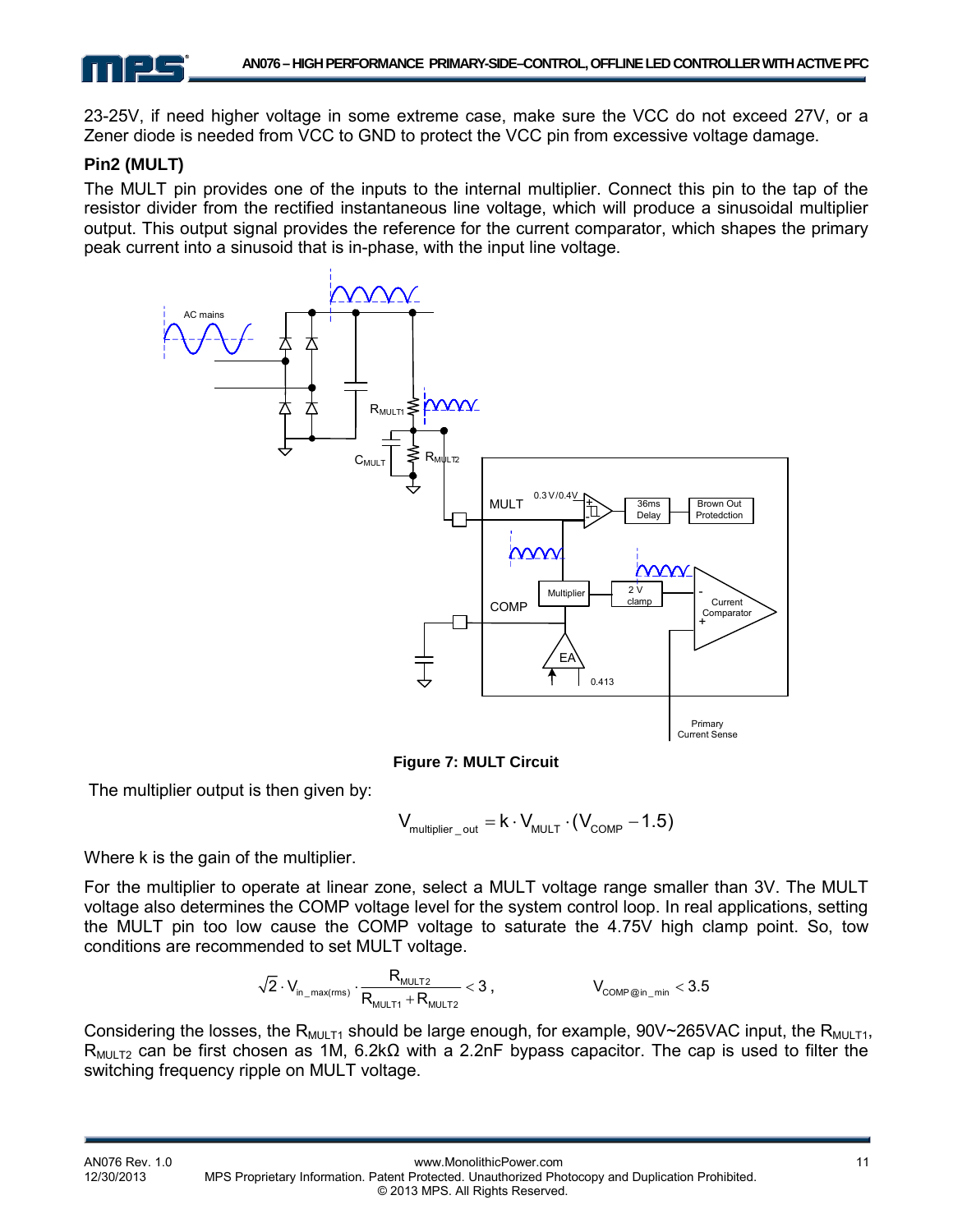23-25V, if need higher voltage in some extreme case, make sure the VCC do not exceed 27V, or a Zener diode is needed from VCC to GND to protect the VCC pin from excessive voltage damage.

#### **Pin2 (MULT)**

The MULT pin provides one of the inputs to the internal multiplier. Connect this pin to the tap of the resistor divider from the rectified instantaneous line voltage, which will produce a sinusoidal multiplier output. This output signal provides the reference for the current comparator, which shapes the primary peak current into a sinusoid that is in-phase, with the input line voltage.



**Figure 7: MULT Circuit**

The multiplier output is then given by:

$$
V_{\text{multiplier\_out}} = k \cdot V_{\text{MULT}} \cdot (V_{\text{COMP}} - 1.5)
$$

Where k is the gain of the multiplier.

For the multiplier to operate at linear zone, select a MULT voltage range smaller than 3V. The MULT voltage also determines the COMP voltage level for the system control loop. In real applications, setting the MULT pin too low cause the COMP voltage to saturate the 4.75V high clamp point. So, tow conditions are recommended to set MULT voltage.

$$
\sqrt{2}\cdot V_{_{in\_max(rms)}}\cdot\frac{R_{_{MULT2}}}{R_{_{MULT1}}+R_{_{MULT2}}}<3\;,\qquad\qquad\qquad V_{_{COMP@in\_min}}<3.5
$$

Considering the losses, the R<sub>MULT1</sub> should be large enough, for example, 90V~265VAC input, the R<sub>MULT1</sub>, R<sub>MULT2</sub> can be first chosen as 1M, 6.2k $\Omega$  with a 2.2nF bypass capacitor. The cap is used to filter the switching frequency ripple on MULT voltage.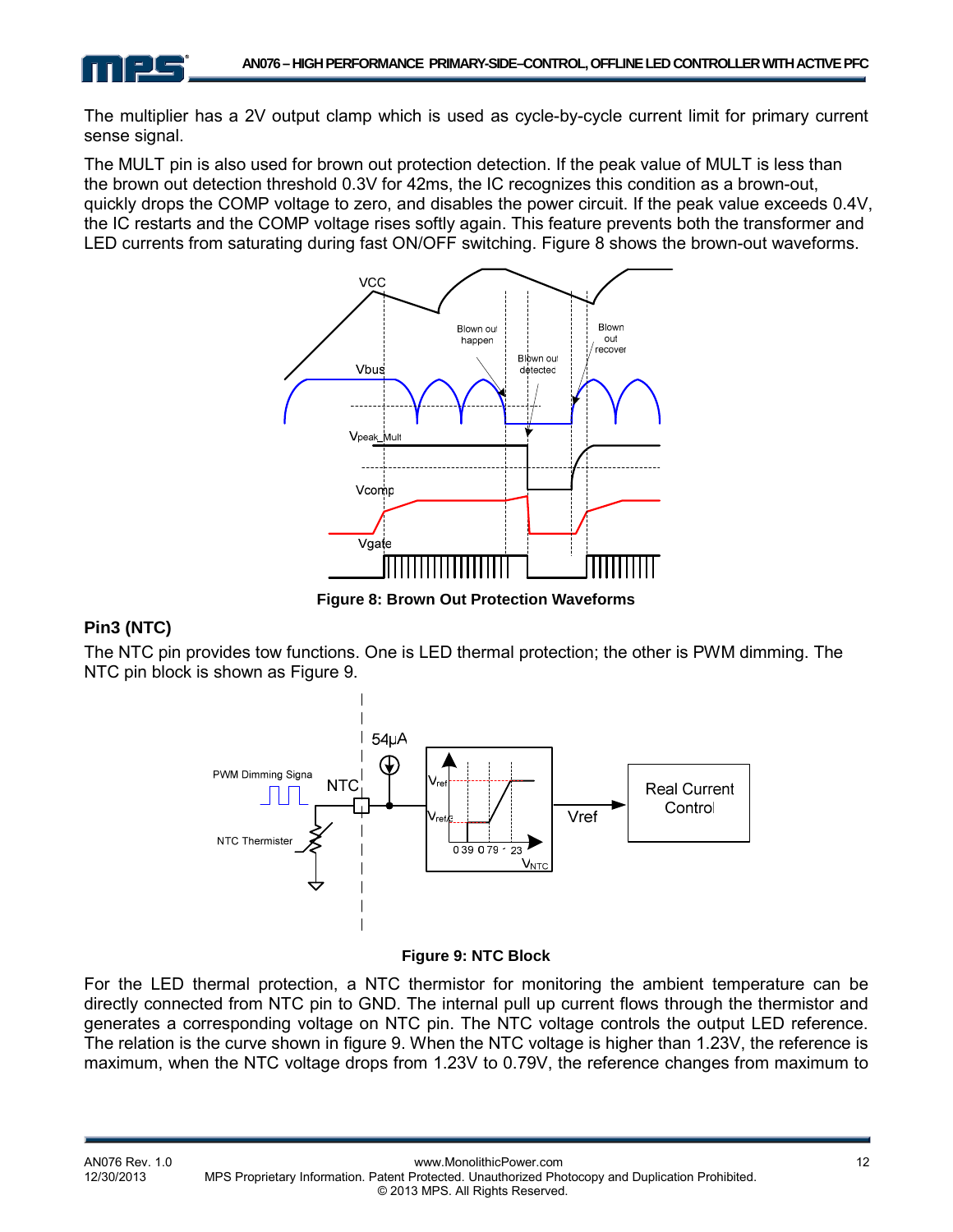The multiplier has a 2V output clamp which is used as cycle-by-cycle current limit for primary current sense signal.

The MULT pin is also used for brown out protection detection. If the peak value of MULT is less than the brown out detection threshold 0.3V for 42ms, the IC recognizes this condition as a brown-out, quickly drops the COMP voltage to zero, and disables the power circuit. If the peak value exceeds 0.4V, the IC restarts and the COMP voltage rises softly again. This feature prevents both the transformer and LED currents from saturating during fast ON/OFF switching. Figure 8 shows the brown-out waveforms.



**Figure 8: Brown Out Protection Waveforms** 

#### **Pin3 (NTC)**

The NTC pin provides tow functions. One is LED thermal protection; the other is PWM dimming. The NTC pin block is shown as Figure 9.



#### **Figure 9: NTC Block**

For the LED thermal protection, a NTC thermistor for monitoring the ambient temperature can be directly connected from NTC pin to GND. The internal pull up current flows through the thermistor and generates a corresponding voltage on NTC pin. The NTC voltage controls the output LED reference. The relation is the curve shown in figure 9. When the NTC voltage is higher than 1.23V, the reference is maximum, when the NTC voltage drops from 1.23V to 0.79V, the reference changes from maximum to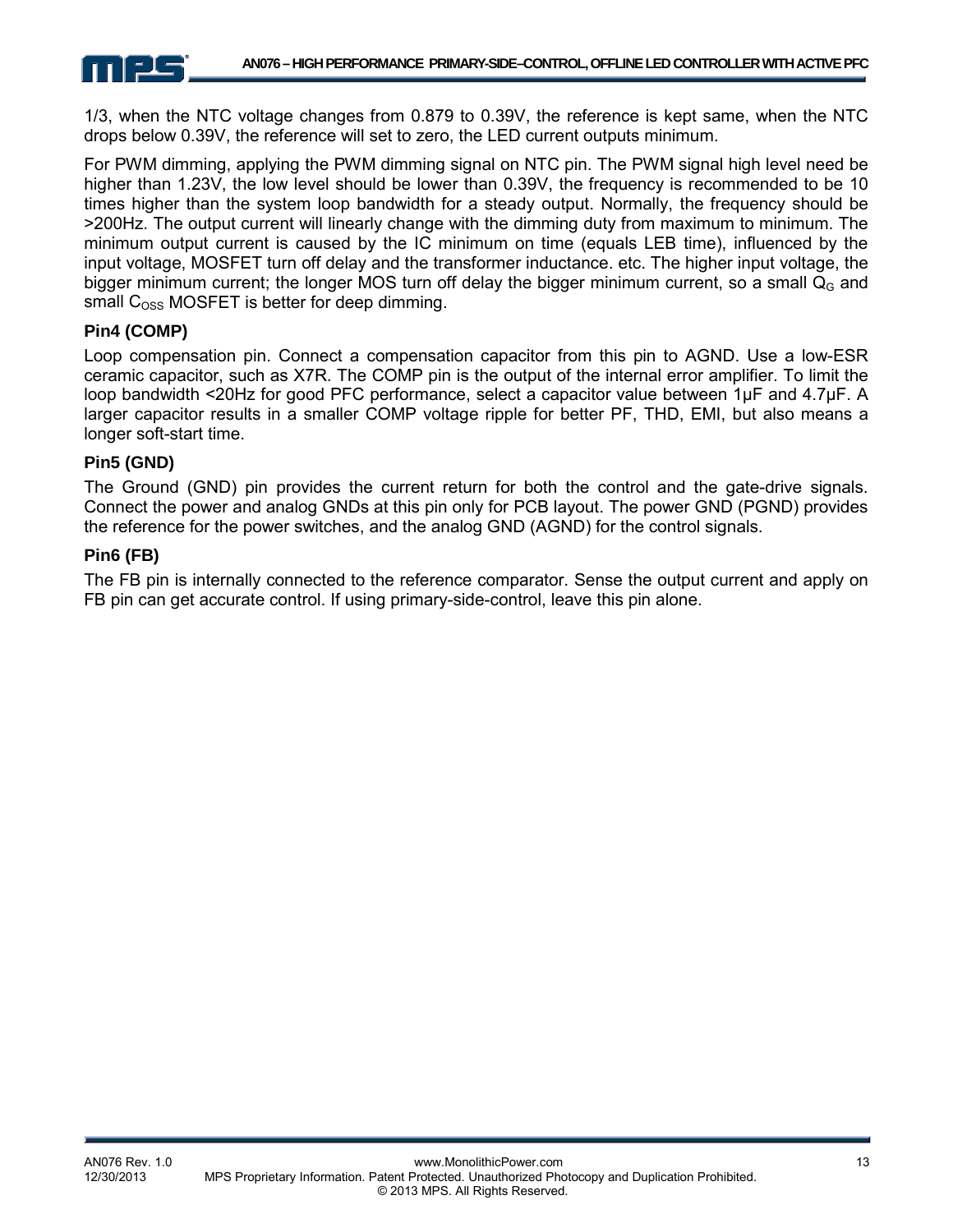

1/3, when the NTC voltage changes from 0.879 to 0.39V, the reference is kept same, when the NTC drops below 0.39V, the reference will set to zero, the LED current outputs minimum.

For PWM dimming, applying the PWM dimming signal on NTC pin. The PWM signal high level need be higher than 1.23V, the low level should be lower than 0.39V, the frequency is recommended to be 10 times higher than the system loop bandwidth for a steady output. Normally, the frequency should be >200Hz. The output current will linearly change with the dimming duty from maximum to minimum. The minimum output current is caused by the IC minimum on time (equals LEB time), influenced by the input voltage, MOSFET turn off delay and the transformer inductance. etc. The higher input voltage, the bigger minimum current; the longer MOS turn off delay the bigger minimum current, so a small  $Q<sub>G</sub>$  and small  $C<sub>oss</sub> MOSFET$  is better for deep dimming.

#### **Pin4 (COMP)**

Loop compensation pin. Connect a compensation capacitor from this pin to AGND. Use a low-ESR ceramic capacitor, such as X7R. The COMP pin is the output of the internal error amplifier. To limit the loop bandwidth <20Hz for good PFC performance, select a capacitor value between 1µF and 4.7µF. A larger capacitor results in a smaller COMP voltage ripple for better PF, THD, EMI, but also means a longer soft-start time.

#### **Pin5 (GND)**

The Ground (GND) pin provides the current return for both the control and the gate-drive signals. Connect the power and analog GNDs at this pin only for PCB layout. The power GND (PGND) provides the reference for the power switches, and the analog GND (AGND) for the control signals.

#### **Pin6 (FB)**

The FB pin is internally connected to the reference comparator. Sense the output current and apply on FB pin can get accurate control. If using primary-side-control, leave this pin alone.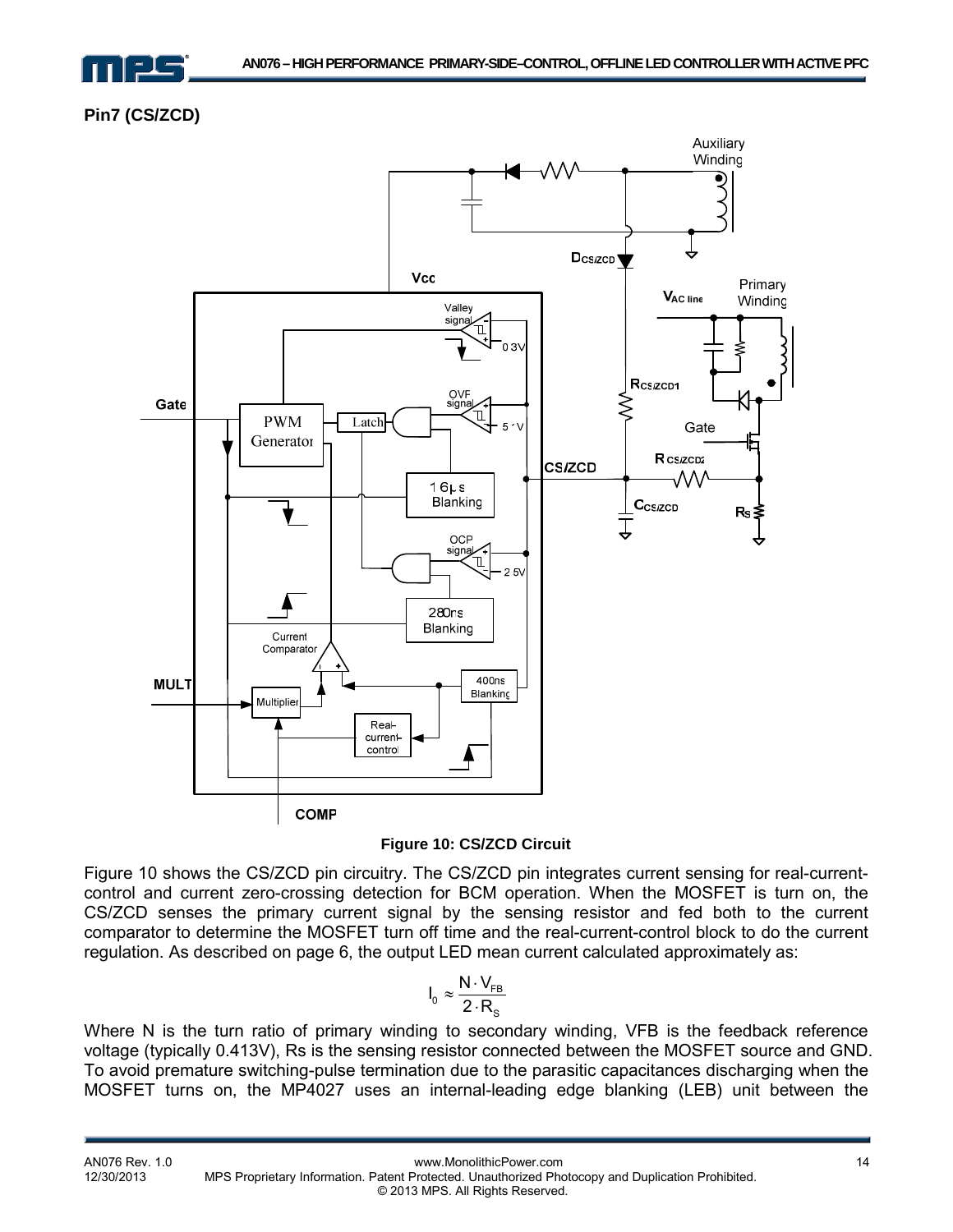

**Pin7 (CS/ZCD)** 





Figure 10 shows the CS/ZCD pin circuitry. The CS/ZCD pin integrates current sensing for real-currentcontrol and current zero-crossing detection for BCM operation. When the MOSFET is turn on, the CS/ZCD senses the primary current signal by the sensing resistor and fed both to the current comparator to determine the MOSFET turn off time and the real-current-control block to do the current regulation. As described on page 6, the output LED mean current calculated approximately as:

$$
I_0 \approx \frac{N \cdot V_{FB}}{2 \cdot R_s}
$$

Where N is the turn ratio of primary winding to secondary winding, VFB is the feedback reference voltage (typically 0.413V), Rs is the sensing resistor connected between the MOSFET source and GND. To avoid premature switching-pulse termination due to the parasitic capacitances discharging when the MOSFET turns on, the MP4027 uses an internal-leading edge blanking (LEB) unit between the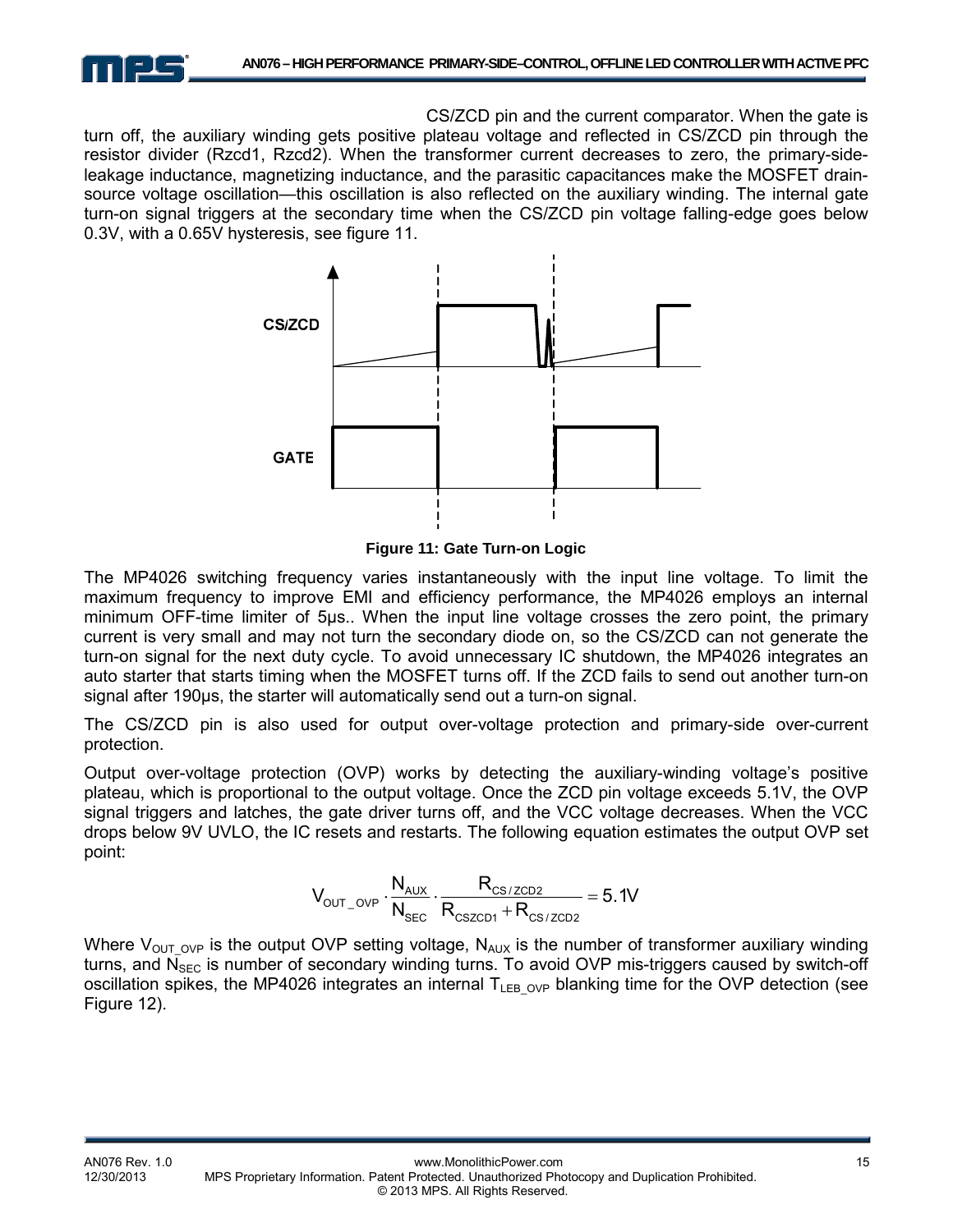

CS/ZCD pin and the current comparator. When the gate is turn off, the auxiliary winding gets positive plateau voltage and reflected in CS/ZCD pin through the resistor divider (Rzcd1, Rzcd2). When the transformer current decreases to zero, the primary-sideleakage inductance, magnetizing inductance, and the parasitic capacitances make the MOSFET drainsource voltage oscillation—this oscillation is also reflected on the auxiliary winding. The internal gate turn-on signal triggers at the secondary time when the CS/ZCD pin voltage falling-edge goes below 0.3V, with a 0.65V hysteresis, see figure 11.



**Figure 11: Gate Turn-on Logic** 

The MP4026 switching frequency varies instantaneously with the input line voltage. To limit the maximum frequency to improve EMI and efficiency performance, the MP4026 employs an internal minimum OFF-time limiter of 5μs.. When the input line voltage crosses the zero point, the primary current is very small and may not turn the secondary diode on, so the CS/ZCD can not generate the turn-on signal for the next duty cycle. To avoid unnecessary IC shutdown, the MP4026 integrates an auto starter that starts timing when the MOSFET turns off. If the ZCD fails to send out another turn-on signal after 190µs, the starter will automatically send out a turn-on signal.

The CS/ZCD pin is also used for output over-voltage protection and primary-side over-current protection.

Output over-voltage protection (OVP) works by detecting the auxiliary-winding voltage's positive plateau, which is proportional to the output voltage. Once the ZCD pin voltage exceeds 5.1V, the OVP signal triggers and latches, the gate driver turns off, and the VCC voltage decreases. When the VCC drops below 9V UVLO, the IC resets and restarts. The following equation estimates the output OVP set point:

$$
V_{\text{OUT\_OVP}} \cdot \frac{N_{\text{AUX}}}{N_{\text{SEC}}} \cdot \frac{R_{\text{CS/ZCD2}}}{R_{\text{CSZCD1}} + R_{\text{CS/ZCD2}}} = 5.1V
$$

Where  $V_{\text{OUT OVP}}$  is the output OVP setting voltage, N<sub>AUX</sub> is the number of transformer auxiliary winding turns, and  $\overline{N}_{SEC}$  is number of secondary winding turns. To avoid OVP mis-triggers caused by switch-off oscillation spikes, the MP4026 integrates an internal  $T_{LEB-OVP}$  blanking time for the OVP detection (see Figure 12).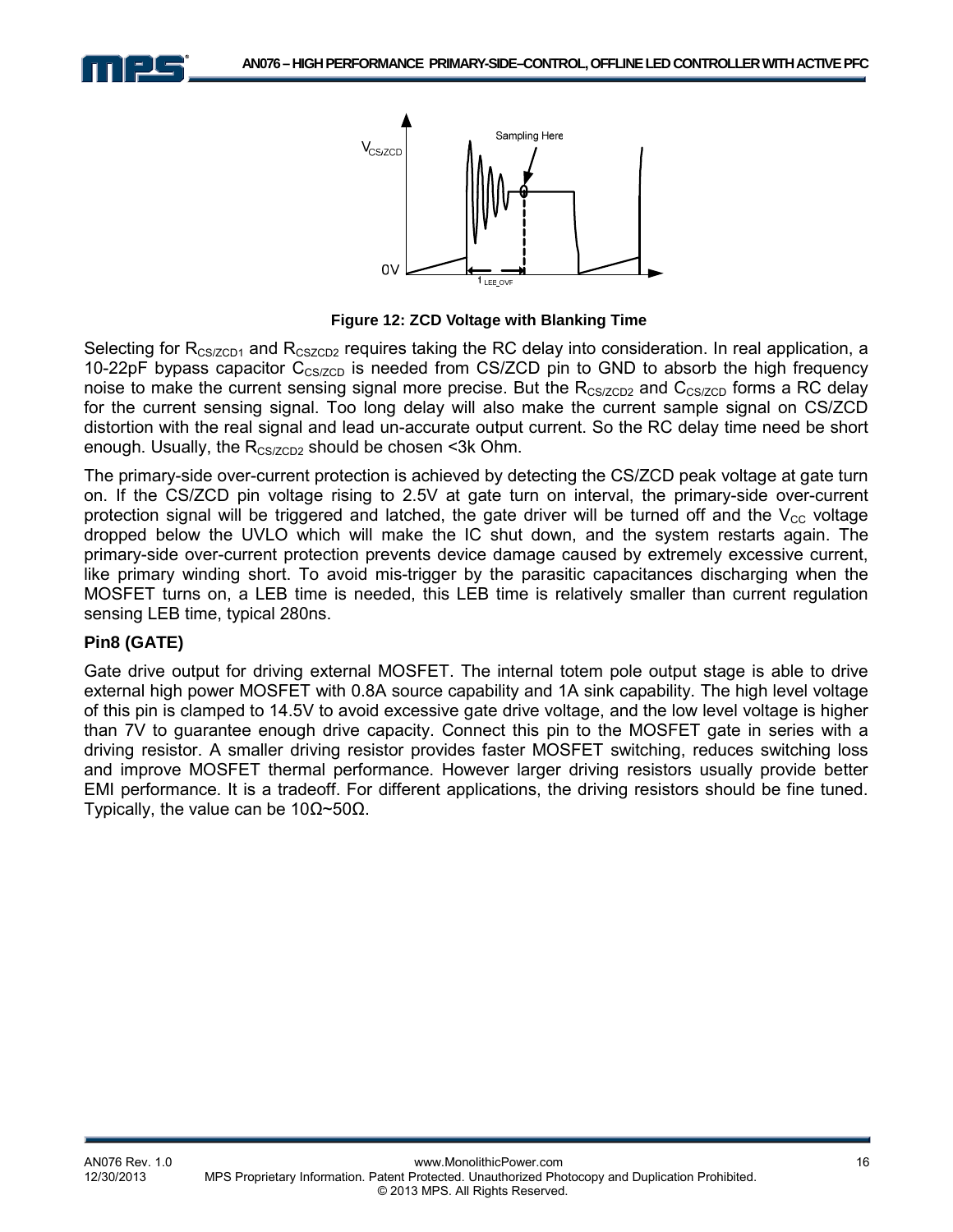



 **Figure 12: ZCD Voltage with Blanking Time** 

Selecting for  $R_{CSZCD1}$  and  $R_{CSZCD2}$  requires taking the RC delay into consideration. In real application, a 10-22pF bypass capacitor  $C_{CS/ZCD}$  is needed from CS/ZCD pin to GND to absorb the high frequency noise to make the current sensing signal more precise. But the  $R_{CS/ZCD2}$  and  $C_{CS/ZCD}$  forms a RC delay for the current sensing signal. Too long delay will also make the current sample signal on CS/ZCD distortion with the real signal and lead un-accurate output current. So the RC delay time need be short enough. Usually, the  $R_{CS/ZCD2}$  should be chosen <3k Ohm.

The primary-side over-current protection is achieved by detecting the CS/ZCD peak voltage at gate turn on. If the CS/ZCD pin voltage rising to 2.5V at gate turn on interval, the primary-side over-current protection signal will be triggered and latched, the gate driver will be turned off and the  $V_{\text{CC}}$  voltage dropped below the UVLO which will make the IC shut down, and the system restarts again. The primary-side over-current protection prevents device damage caused by extremely excessive current, like primary winding short. To avoid mis-trigger by the parasitic capacitances discharging when the MOSFET turns on, a LEB time is needed, this LEB time is relatively smaller than current regulation sensing LEB time, typical 280ns.

#### **Pin8 (GATE)**

Gate drive output for driving external MOSFET. The internal totem pole output stage is able to drive external high power MOSFET with 0.8A source capability and 1A sink capability. The high level voltage of this pin is clamped to 14.5V to avoid excessive gate drive voltage, and the low level voltage is higher than 7V to guarantee enough drive capacity. Connect this pin to the MOSFET gate in series with a driving resistor. A smaller driving resistor provides faster MOSFET switching, reduces switching loss and improve MOSFET thermal performance. However larger driving resistors usually provide better EMI performance. It is a tradeoff. For different applications, the driving resistors should be fine tuned. Typically, the value can be 10Ω~50Ω.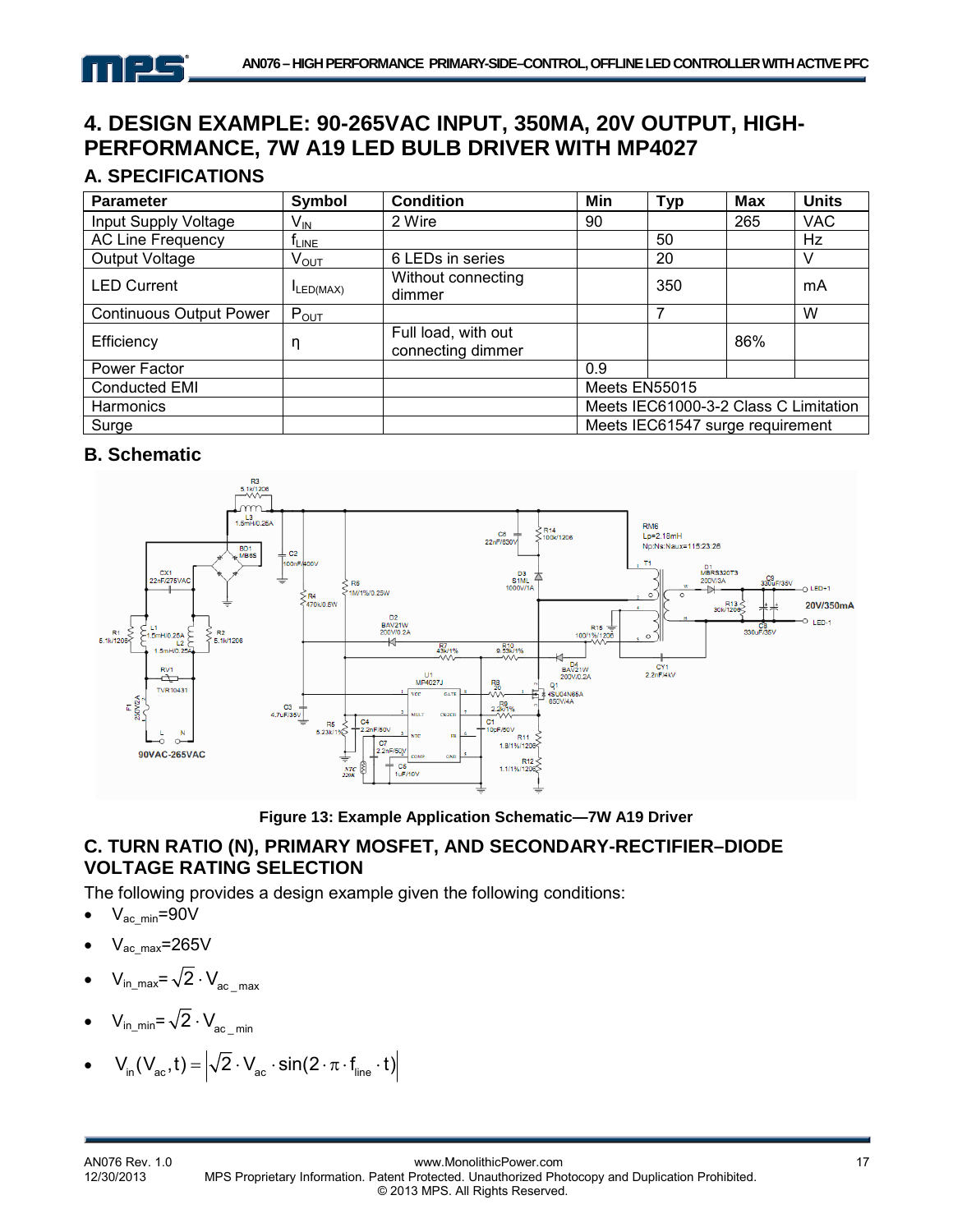

# **4. DESIGN EXAMPLE: 90-265VAC INPUT, 350MA, 20V OUTPUT, HIGH-PERFORMANCE, 7W A19 LED BULB DRIVER WITH MP4027**

# **A. SPECIFICATIONS**

| <b>Parameter</b>               | Symbol          | <b>Condition</b>                         | Min           | <b>Typ</b>                            | <b>Max</b> | <b>Units</b> |
|--------------------------------|-----------------|------------------------------------------|---------------|---------------------------------------|------------|--------------|
| Input Supply Voltage           | V <sub>IN</sub> | 2 Wire                                   | 90            |                                       | 265        | <b>VAC</b>   |
| <b>AC Line Frequency</b>       | <b>TLINE</b>    |                                          |               | 50                                    |            | Hz           |
| Output Voltage                 | $\rm V_{OUT}$   | 6 LEDs in series                         |               | 20                                    |            |              |
| <b>LED Current</b>             | $I_{LED(MAX)}$  | Without connecting<br>dimmer             |               | 350                                   |            | mA           |
| <b>Continuous Output Power</b> | $P_{OUT}$       |                                          |               | 7                                     |            | W            |
| Efficiency                     | η               | Full load, with out<br>connecting dimmer |               |                                       | 86%        |              |
| Power Factor                   |                 |                                          | 0.9           |                                       |            |              |
| Conducted EMI                  |                 |                                          | Meets EN55015 |                                       |            |              |
| <b>Harmonics</b>               |                 |                                          |               | Meets IEC61000-3-2 Class C Limitation |            |              |
| Surge                          |                 |                                          |               | Meets IEC61547 surge requirement      |            |              |

# **B. Schematic**



**Figure 13: Example Application Schematic—7W A19 Driver**

# **C. TURN RATIO (N), PRIMARY MOSFET, AND SECONDARY-RECTIFIER–DIODE VOLTAGE RATING SELECTION**

The following provides a design example given the following conditions:

- $\bullet$   $V_{ac\_min} = 90V$
- $V_{ac\,max}=265V$
- $V_{in\_max} = \sqrt{2} \cdot V_{ac max}$
- $V_{in\_min} = \sqrt{2} \cdot V_{ac-min}$
- $V_{in}(V_{ac}, t) = |\sqrt{2} \cdot V_{ac} \cdot \sin(2 \cdot \pi \cdot f_{line} \cdot t)|$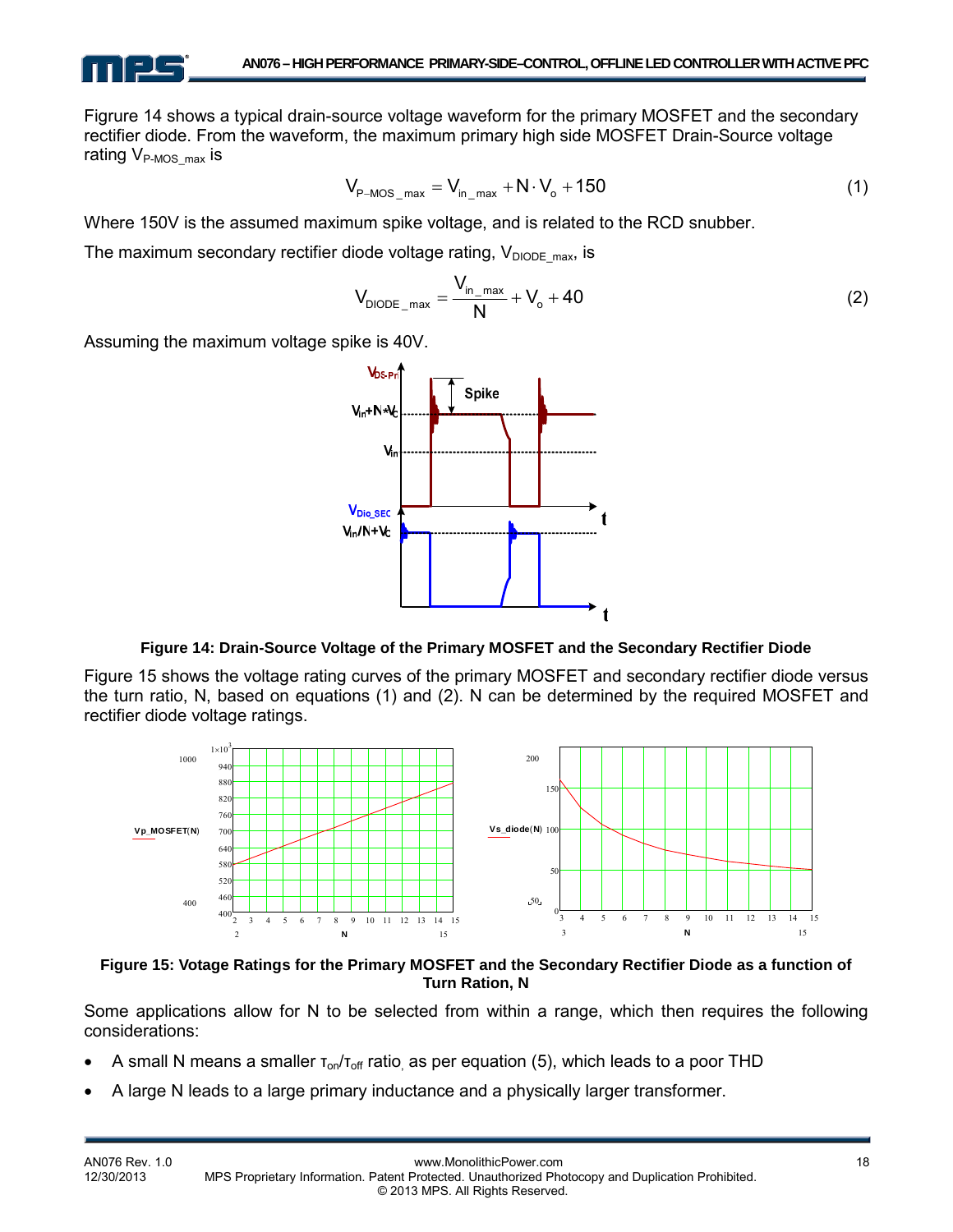

Figrure 14 shows a typical drain-source voltage waveform for the primary MOSFET and the secondary rectifier diode. From the waveform, the maximum primary high side MOSFET Drain-Source voltage rating  $V_{P\text{-MOS max}}$  is

$$
V_{P-MOS\_max} = V_{in\_max} + N \cdot V_o + 150
$$
 (1)

Where 150V is the assumed maximum spike voltage, and is related to the RCD snubber.

The maximum secondary rectifier diode voltage rating,  $V_{DIODE\,max}$ , is

$$
V_{DIODE\_max} = \frac{V_{in\_max}}{N} + V_o + 40
$$
 (2)

Assuming the maximum voltage spike is 40V.



#### **Figure 14: Drain-Source Voltage of the Primary MOSFET and the Secondary Rectifier Diode**

Figure 15 shows the voltage rating curves of the primary MOSFET and secondary rectifier diode versus the turn ratio, N, based on equations (1) and (2). N can be determined by the required MOSFET and rectifier diode voltage ratings.



**Figure 15: Votage Ratings for the Primary MOSFET and the Secondary Rectifier Diode as a function of Turn Ration, N** 

Some applications allow for N to be selected from within a range, which then requires the following considerations:

- A small N means a smaller  $T_{on}/T_{off}$  ratio, as per equation (5), which leads to a poor THD
- A large N leads to a large primary inductance and a physically larger transformer.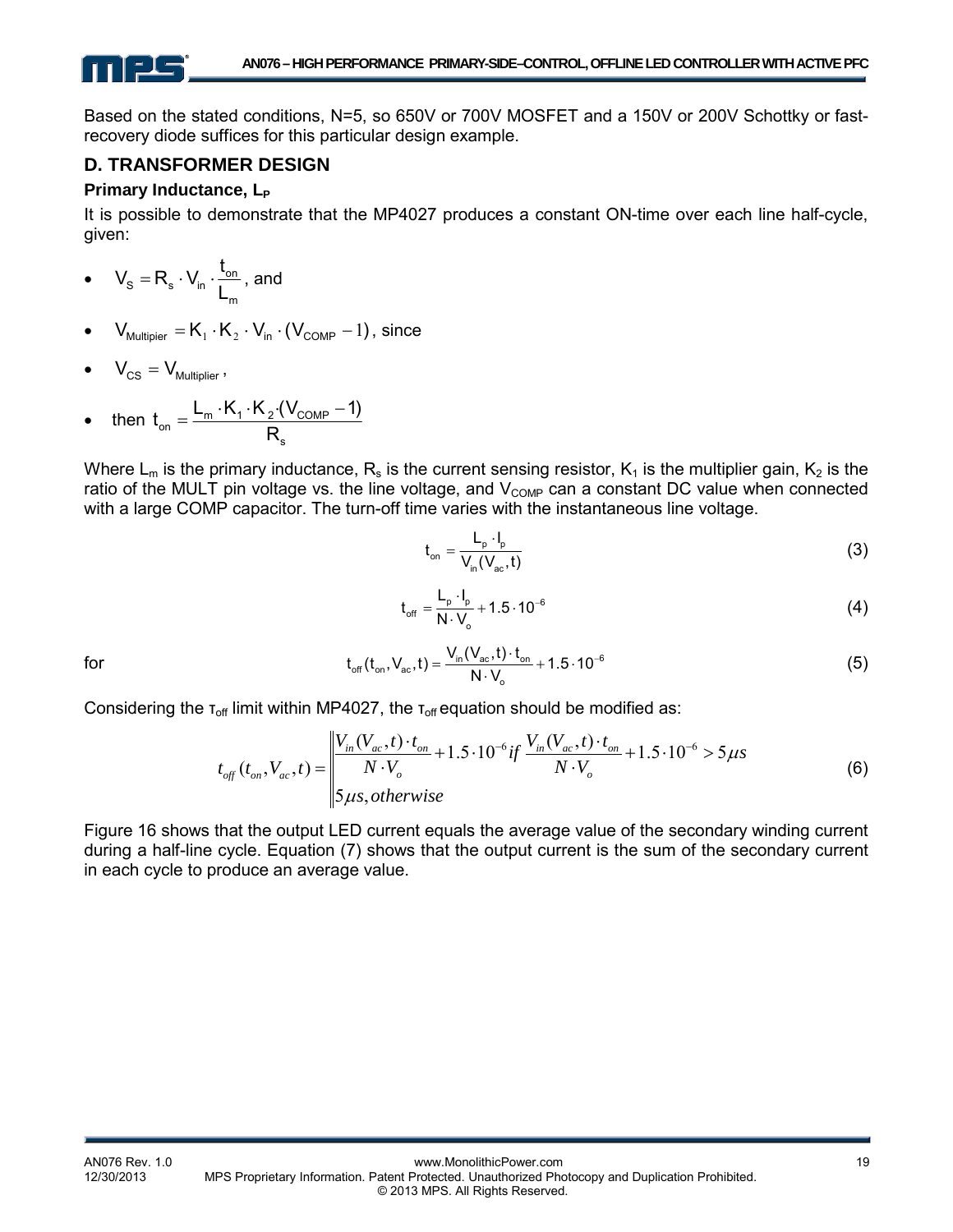Based on the stated conditions, N=5, so 650V or 700V MOSFET and a 150V or 200V Schottky or fastrecovery diode suffices for this particular design example.

# **D. TRANSFORMER DESIGN**

#### **Primary Inductance, L<sub>P</sub>**

It is possible to demonstrate that the MP4027 produces a constant ON-time over each line half-cycle, given:

• 
$$
V_s = R_s \cdot V_{in} \cdot \frac{t_{on}}{L_m}
$$
, and

 $V_{\text{Multiier}} = K_1 \cdot K_2 \cdot V_{\text{in}} \cdot (V_{\text{COMP}} - 1)$ , since

$$
\bullet \qquad V_{CS} = V_{\text{Multiplier}} \,,
$$

• then  $t_{on} = \frac{L_m - L_1 + L_2 + C_{COMP}}{D}$ s  $t_{on} = \frac{L_m \cdot K_1 \cdot K_2 \cdot (V_{COMP} - 1)}{P}$ R  $=\frac{L_m \cdot K_1 \cdot K_2 \cdot (V_{COMP}-1)}{P_{END}}$ 

Where  $L_m$  is the primary inductance,  $R_s$  is the current sensing resistor,  $K_1$  is the multiplier gain,  $K_2$  is the ratio of the MULT pin voltage vs. the line voltage, and  $V_{\text{COMP}}$  can a constant DC value when connected with a large COMP capacitor. The turn-off time varies with the instantaneous line voltage.

$$
t_{on} = \frac{L_p \cdot l_p}{V_{in}(V_{ac}, t)}
$$
(3)

$$
t_{\rm off} = \frac{L_{\rm p} \cdot l_{\rm p}}{N \cdot V_{\rm o}} + 1.5 \cdot 10^{-6}
$$
 (4)

for 
$$
t_{off}(t_{on}, V_{ac}, t) = \frac{V_{in}(V_{ac}, t) \cdot t_{on}}{N \cdot V_{o}} + 1.5 \cdot 10^{-6}
$$
 (5)

Considering the  $\tau_{\text{off}}$  limit within MP4027, the  $\tau_{\text{off}}$  equation should be modified as:

$$
t_{off}(t_{on}, V_{ac}, t) = \begin{vmatrix} V_{in}(V_{ac}, t) \cdot t_{on} \\ N \cdot V_{o} \end{vmatrix} + 1.5 \cdot 10^{-6} \, if \, \frac{V_{in}(V_{ac}, t) \cdot t_{on}}{N \cdot V_{o}} + 1.5 \cdot 10^{-6} > 5 \, \mu s \tag{6}
$$
\n
$$
\text{(6)}
$$

Figure 16 shows that the output LED current equals the average value of the secondary winding current during a half-line cycle. Equation (7) shows that the output current is the sum of the secondary current in each cycle to produce an average value.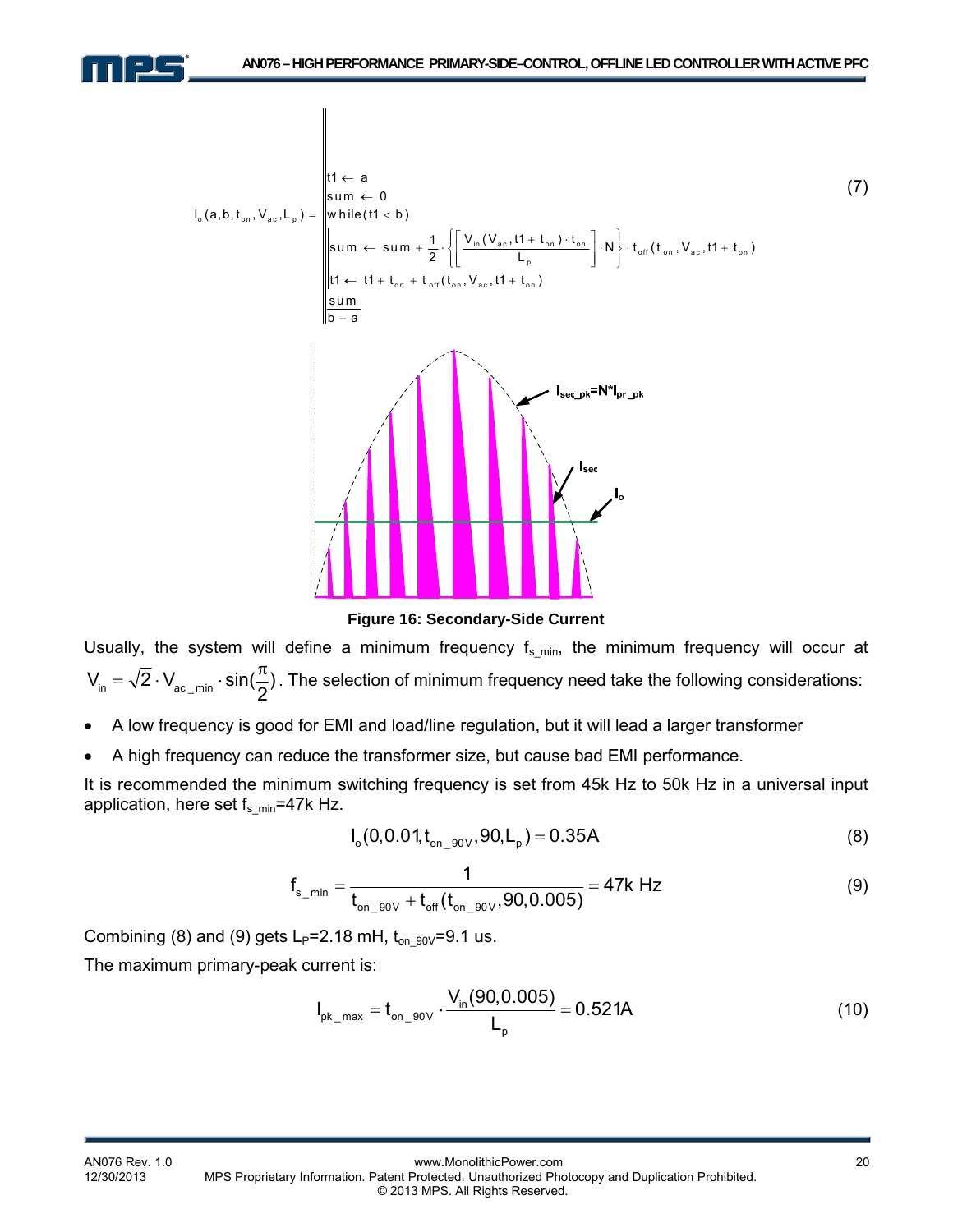



**Figure 16: Secondary-Side Current** 

Usually, the system will define a minimum frequency  $f_{s\_min}$ , the minimum frequency will occur at  $V_{in} = \sqrt{2} \cdot V_{ac,min} \cdot \sin(\frac{\pi}{2})$ . The selection of minimum frequency need take the following considerations:

- A low frequency is good for EMI and load/line regulation, but it will lead a larger transformer
- A high frequency can reduce the transformer size, but cause bad EMI performance.

It is recommended the minimum switching frequency is set from 45k Hz to 50k Hz in a universal input application, here set  $f_{s\_min}$ =47k Hz.

$$
I_o(0, 0.01, t_{on\_90V}, 90, L_p) = 0.35A
$$
 (8)

$$
f_{s_{min}} = \frac{1}{t_{on\_90V} + t_{off}(t_{on\_90V}, 90, 0.005)} = 47k Hz
$$
 (9)

Combining (8) and (9) gets  $L_P=2.18$  mH,  $t_{on-90V}=9.1$  us.

The maximum primary-peak current is:

$$
I_{\text{pk\_max}} = t_{\text{on\_90V}} \cdot \frac{V_{\text{in}}(90, 0.005)}{L_{\text{p}}} = 0.521A
$$
 (10)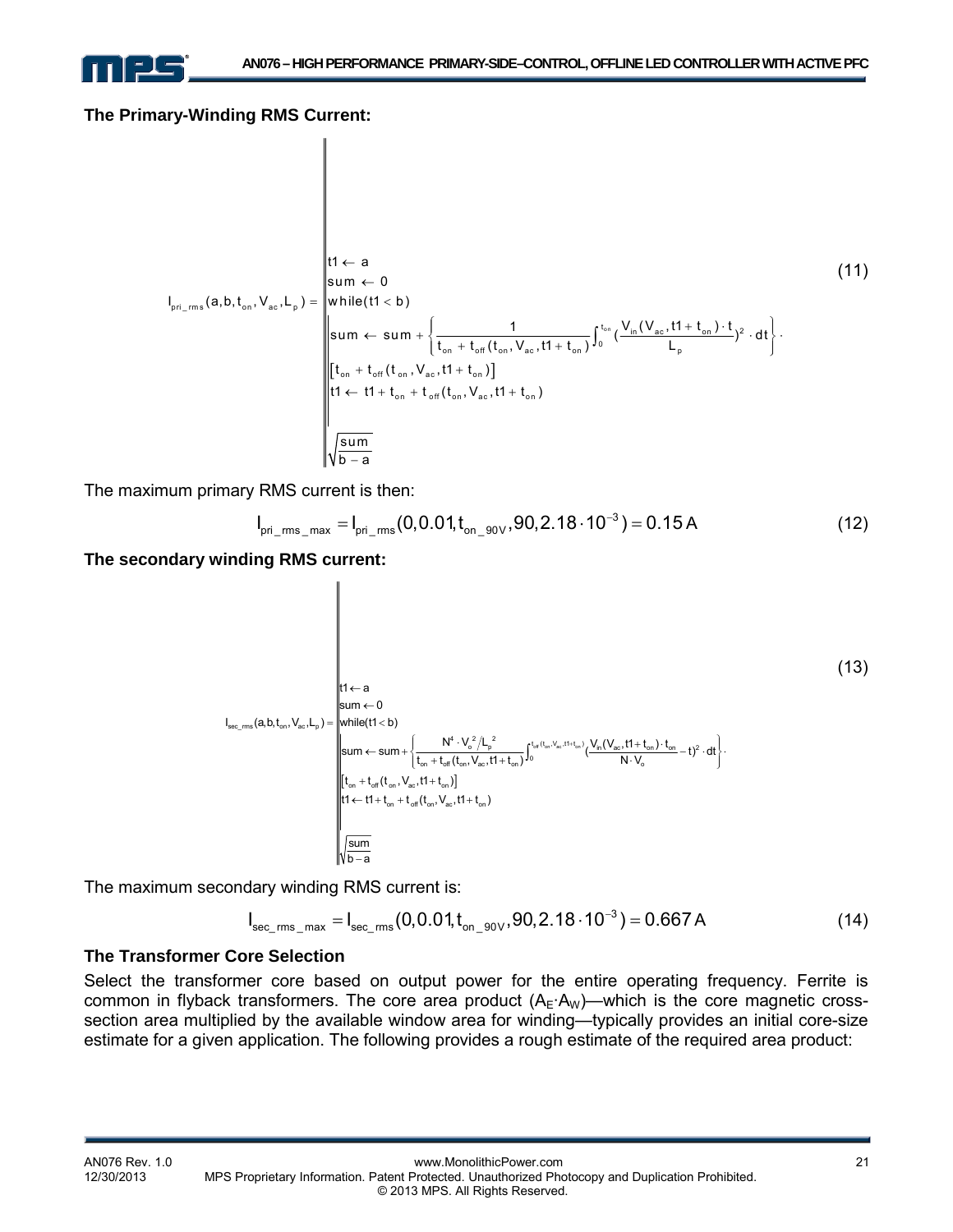

#### **The Primary-Winding RMS Current:**

 $\parallel$ 

$$
I_{\text{pri\_rms}}(a,b,t_{\text{on}},V_{\text{ac}},L_{\text{p}}) = \begin{bmatrix} t1 \leftarrow a & & & & & & (11) \\ \text{sum} \leftarrow 0 & & & & & \\ \text{while}(t1 < b) & & & & \\ \text{sum} \leftarrow \text{sum} + \left\{ \frac{1}{t_{\text{on}} + t_{\text{off}}(t_{\text{on}},V_{\text{ac}},t1+t_{\text{on}})} \int_{0}^{t_{\text{on}}} (\frac{V_{\text{in}}(V_{\text{ac}},t1+t_{\text{on}}) \cdot t}{L_{\text{p}}})^{2} \cdot dt \right\} \\ \text{sum} + t_{\text{off}}(t_{\text{on}},V_{\text{ac}},t1+t_{\text{on}})] & & & & & \\ \text{int} \leftarrow t1 + t_{\text{on}} + t_{\text{off}}(t_{\text{on}},V_{\text{ac}},t1+t_{\text{on}}) & & & & \\ \text{sum} & & & & \\ \sqrt{\frac{\text{sum}}{b-a}} & & & & \end{bmatrix}.
$$

The maximum primary RMS current is then:

$$
I_{\text{pri\_rms\_max}} = I_{\text{pri\_rms}}(0, 0.01, t_{\text{on\_90V}}, 90, 2.18 \cdot 10^{-3}) = 0.15 \text{ A}
$$
 (12)

**The secondary winding RMS current:** 

 (13) t1 a ← sum 0 ← I (a,b,t ,V ,L ) while(t1 b) = < sec\_rms on ac p 4 22 t (t ,V ,t1 t ) o p in ac on on <sup>2</sup> NV L V (V ,t1 t ) t sum sum ( t) dt t t (t ,V ,t1 t ) N V <sup>⎧</sup> <sup>⋅</sup> + ⋅ <sup>⎫</sup> <sup>⎪</sup> <sup>⎪</sup> ← + −⋅ ⋅ <sup>⎨</sup> <sup>⎬</sup> ++ ⋅ ⎩ ⎭ <sup>⎪</sup> <sup>⎪</sup> + ∫ off on ac on <sup>0</sup> on off on ac on o t t (t ,V ,t1 t ) + + [ ] on off on ac on ←+ + + t1 t1 t t (t ,V ,t1 on t ) on off on ac sum b a −

The maximum secondary winding RMS current is:

$$
I_{\text{sec\_rms\_max}} = I_{\text{sec\_rms}}(0, 0.01, t_{\text{on\_90V}}, 90, 2.18 \cdot 10^{-3}) = 0.667 \text{ A}
$$
 (14)

#### **The Transformer Core Selection**

Select the transformer core based on output power for the entire operating frequency. Ferrite is common in flyback transformers. The core area product  $(A_E \cdot A_W)$ —which is the core magnetic crosssection area multiplied by the available window area for winding—typically provides an initial core-size estimate for a given application. The following provides a rough estimate of the required area product: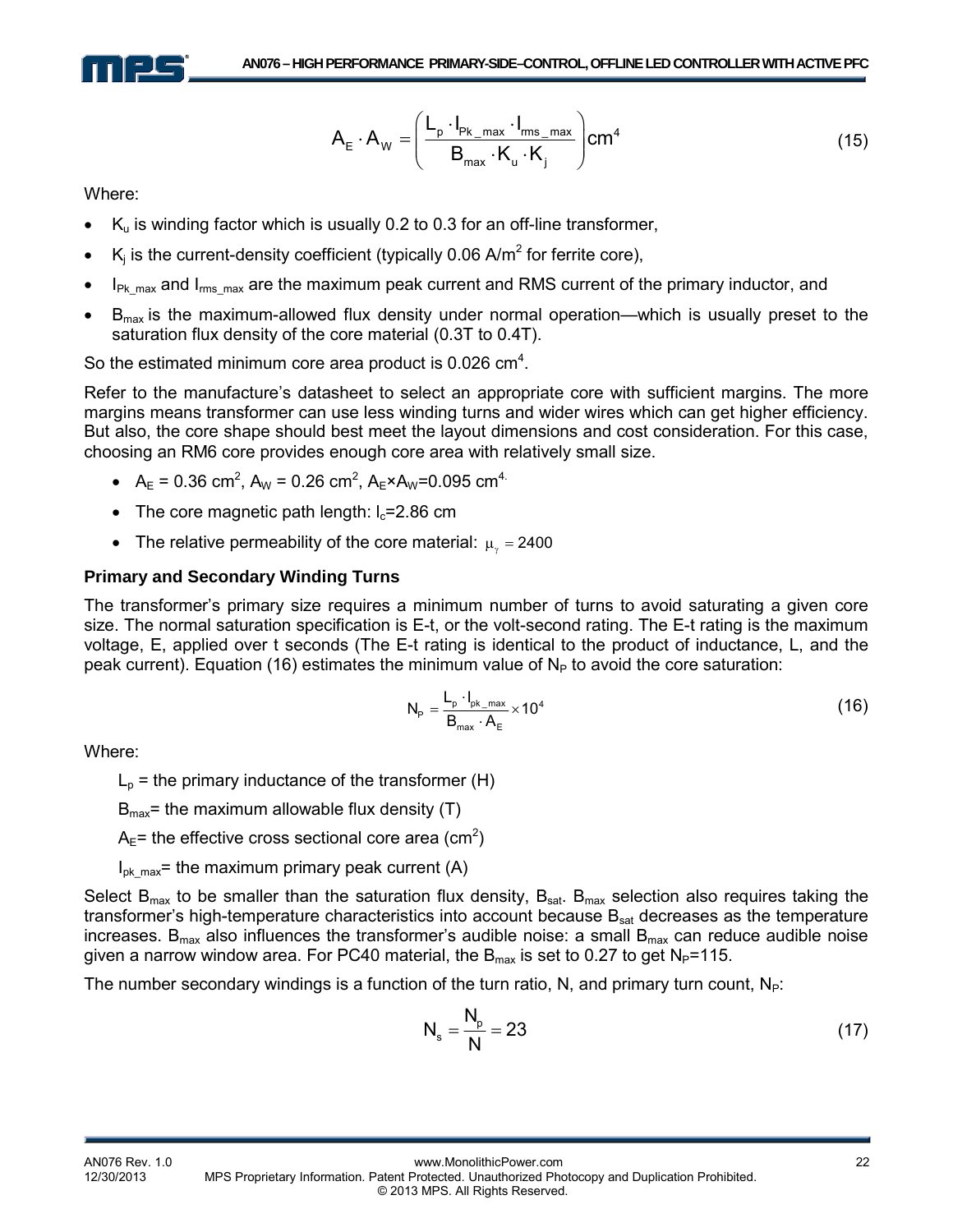

$$
A_{E} \cdot A_{W} = \left(\frac{L_{p} \cdot I_{p_{k\_max}} \cdot I_{rms\_max}}{B_{max} \cdot K_{u} \cdot K_{j}}\right) cm^{4}
$$
\n(15)

Where:

- $K<sub>u</sub>$  is winding factor which is usually 0.2 to 0.3 for an off-line transformer,
- K<sub>i</sub> is the current-density coefficient (typically 0.06 A/m<sup>2</sup> for ferrite core),
- $I_{PK,max}$  and  $I_{rms,max}$  are the maximum peak current and RMS current of the primary inductor, and
- $B_{\text{max}}$  is the maximum-allowed flux density under normal operation—which is usually preset to the saturation flux density of the core material (0.3T to 0.4T).

So the estimated minimum core area product is  $0.026$  cm<sup>4</sup>.

Refer to the manufacture's datasheet to select an appropriate core with sufficient margins. The more margins means transformer can use less winding turns and wider wires which can get higher efficiency. But also, the core shape should best meet the layout dimensions and cost consideration. For this case, choosing an RM6 core provides enough core area with relatively small size.

- $A_E = 0.36$  cm<sup>2</sup>,  $A_W = 0.26$  cm<sup>2</sup>,  $A_E \times A_W = 0.095$  cm<sup>4.</sup>
- The core magnetic path length:  $I_c=2.86$  cm
- The relative permeability of the core material:  $\mu_{\nu} = 2400$

#### **Primary and Secondary Winding Turns**

The transformer's primary size requires a minimum number of turns to avoid saturating a given core size. The normal saturation specification is E-t, or the volt-second rating. The E-t rating is the maximum voltage, E, applied over t seconds (The E-t rating is identical to the product of inductance, L, and the peak current). Equation (16) estimates the minimum value of  $N_P$  to avoid the core saturation:

$$
N_{P} = \frac{L_{p} \cdot I_{pk\_max}}{B_{max} \cdot A_{E}} \times 10^{4}
$$
 (16)

Where:

 $L_p$  = the primary inductance of the transformer (H)

 $B_{\text{max}}$ = the maximum allowable flux density (T)

 $A_{E}$ = the effective cross sectional core area (cm<sup>2</sup>)

 $I_{\text{ok max}}$ = the maximum primary peak current (A)

Select  $B_{\text{max}}$  to be smaller than the saturation flux density,  $B_{\text{sat}}$ .  $B_{\text{max}}$  selection also requires taking the transformer's high-temperature characteristics into account because  $B_{sat}$  decreases as the temperature increases.  $B_{\text{max}}$  also influences the transformer's audible noise: a small  $B_{\text{max}}$  can reduce audible noise given a narrow window area. For PC40 material, the  $B_{max}$  is set to 0.27 to get  $N_P$ =115.

The number secondary windings is a function of the turn ratio, N, and primary turn count,  $N_P$ :

$$
N_s = \frac{N_p}{N} = 23\tag{17}
$$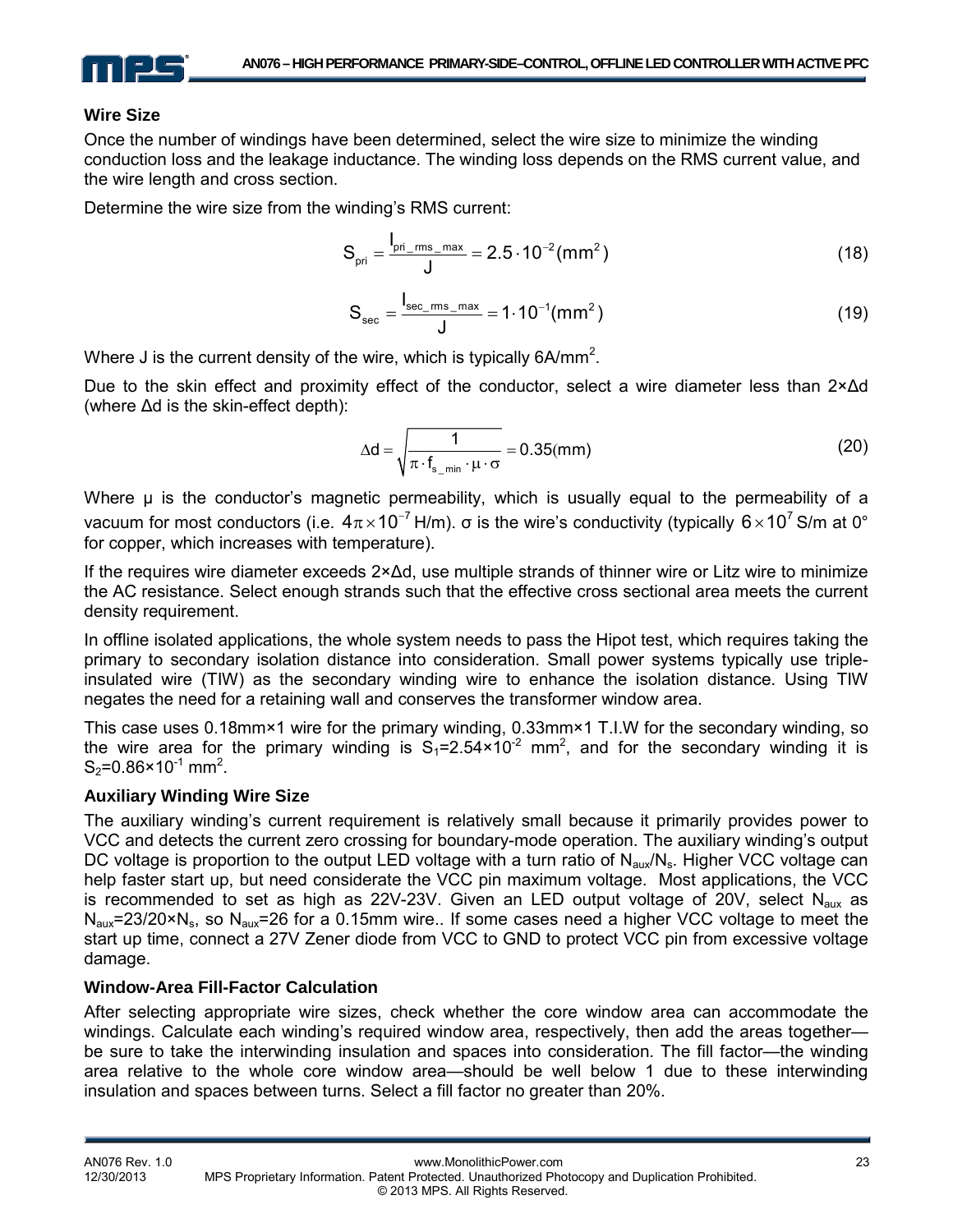

#### **Wire Size**

Once the number of windings have been determined, select the wire size to minimize the winding conduction loss and the leakage inductance. The winding loss depends on the RMS current value, and the wire length and cross section.

Determine the wire size from the winding's RMS current:

$$
S_{\text{pri}} = \frac{I_{\text{pri\_rms\_max}}}{J} = 2.5 \cdot 10^{-2} \, (\text{mm}^2)
$$
 (18)

$$
S_{\rm sec} = \frac{I_{\rm sec\_rms\_max}}{J} = 1.10^{-1} (mm^2)
$$
 (19)

Where J is the current density of the wire, which is typically 6A/mm<sup>2</sup>.

Due to the skin effect and proximity effect of the conductor, select a wire diameter less than 2×Δd (where Δd is the skin-effect depth):

$$
\Delta d = \sqrt{\frac{1}{\pi \cdot f_{s_{\text{min}}} \cdot \mu \cdot \sigma}} = 0.35 \text{(mm)}
$$
 (20)

Where μ is the conductor's magnetic permeability, which is usually equal to the permeability of a vacuum for most conductors (i.e.  $4\pi \times 10^{-7}$  H/m). σ is the wire's conductivity (typically 6×10<sup>7</sup> S/m at 0° for copper, which increases with temperature).

If the requires wire diameter exceeds 2×Δd, use multiple strands of thinner wire or Litz wire to minimize the AC resistance. Select enough strands such that the effective cross sectional area meets the current density requirement.

In offline isolated applications, the whole system needs to pass the Hipot test, which requires taking the primary to secondary isolation distance into consideration. Small power systems typically use tripleinsulated wire (TIW) as the secondary winding wire to enhance the isolation distance. Using TIW negates the need for a retaining wall and conserves the transformer window area.

This case uses 0.18mm×1 wire for the primary winding, 0.33mm×1 T.I.W for the secondary winding, so the wire area for the primary winding is  $S_1 = 2.54 \times 10^{-2}$  mm<sup>2</sup>, and for the secondary winding it is  $S_2 = 0.86 \times 10^{-1}$  mm<sup>2</sup>.

#### **Auxiliary Winding Wire Size**

The auxiliary winding's current requirement is relatively small because it primarily provides power to VCC and detects the current zero crossing for boundary-mode operation. The auxiliary winding's output DC voltage is proportion to the output LED voltage with a turn ratio of  $N_{\text{aux}}/N_s$ . Higher VCC voltage can help faster start up, but need considerate the VCC pin maximum voltage. Most applications, the VCC is recommended to set as high as  $22V-23V$ . Given an LED output voltage of  $20V$ , select N<sub>aux</sub> as  $N_{\text{aux}}$ =23/20×N<sub>s</sub>, so  $N_{\text{aux}}$ =26 for a 0.15mm wire.. If some cases need a higher VCC voltage to meet the start up time, connect a 27V Zener diode from VCC to GND to protect VCC pin from excessive voltage damage.

#### **Window-Area Fill-Factor Calculation**

After selecting appropriate wire sizes, check whether the core window area can accommodate the windings. Calculate each winding's required window area, respectively, then add the areas together be sure to take the interwinding insulation and spaces into consideration. The fill factor—the winding area relative to the whole core window area—should be well below 1 due to these interwinding insulation and spaces between turns. Select a fill factor no greater than 20%.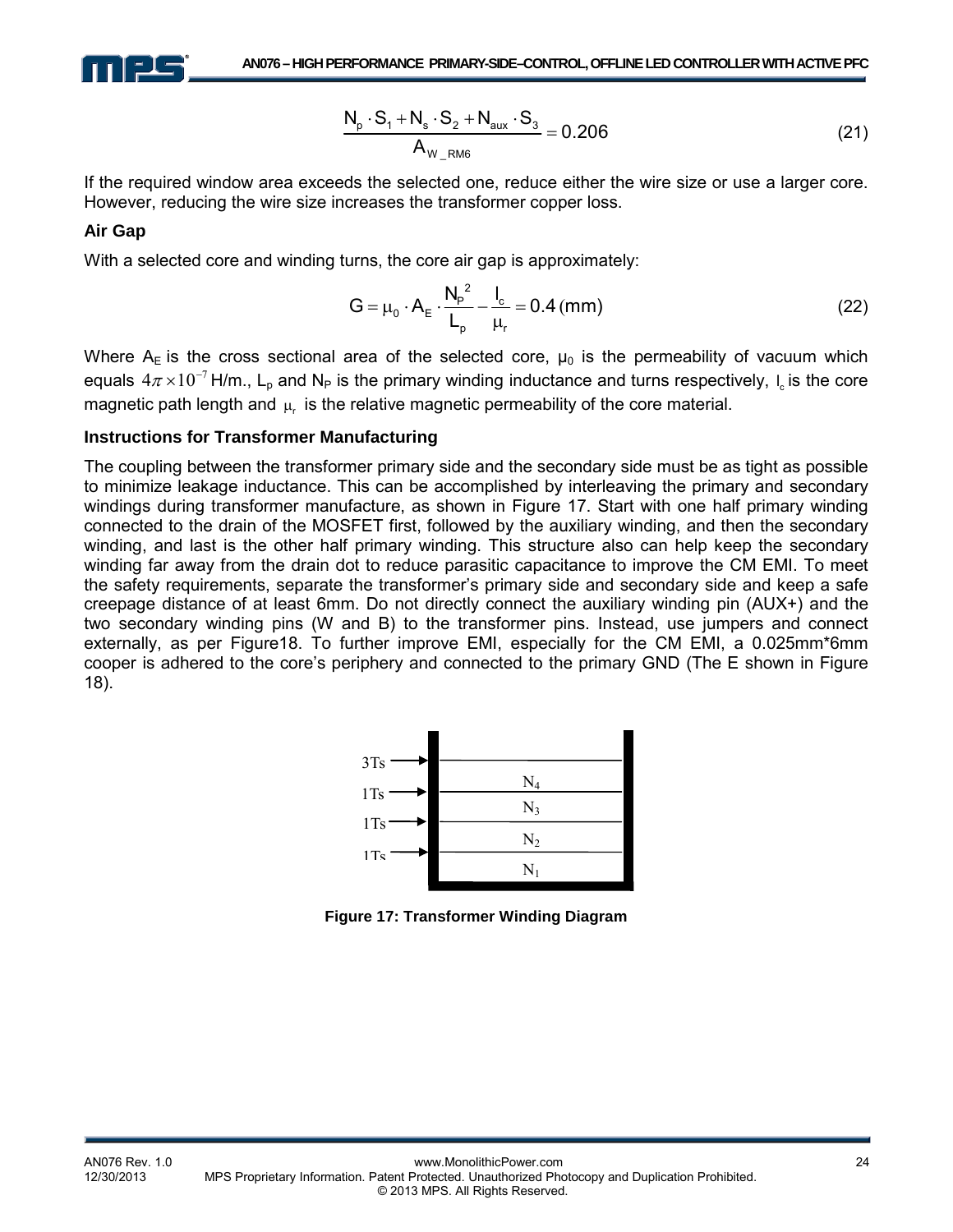

$$
\frac{N_p \cdot S_1 + N_s \cdot S_2 + N_{aux} \cdot S_3}{A_{W_R N M6}} = 0.206
$$
 (21)

If the required window area exceeds the selected one, reduce either the wire size or use a larger core. However, reducing the wire size increases the transformer copper loss.

#### **Air Gap**

With a selected core and winding turns, the core air gap is approximately:

$$
G = \mu_0 \cdot A_E \cdot \frac{N_P^2}{L_p} - \frac{I_c}{\mu_r} = 0.4 \text{ (mm)}
$$
 (22)

Where  $A_E$  is the cross sectional area of the selected core,  $\mu_0$  is the permeability of vacuum which equals 4 $\pi$  × 10<sup>−7</sup> H/m., L<sub>p</sub> and N<sub>P</sub> is the primary winding inductance and turns respectively, I<sub>c</sub> is the core magnetic path length and  $\mu$  is the relative magnetic permeability of the core material.

#### **Instructions for Transformer Manufacturing**

The coupling between the transformer primary side and the secondary side must be as tight as possible to minimize leakage inductance. This can be accomplished by interleaving the primary and secondary windings during transformer manufacture, as shown in Figure 17. Start with one half primary winding connected to the drain of the MOSFET first, followed by the auxiliary winding, and then the secondary winding, and last is the other half primary winding. This structure also can help keep the secondary winding far away from the drain dot to reduce parasitic capacitance to improve the CM EMI. To meet the safety requirements, separate the transformer's primary side and secondary side and keep a safe creepage distance of at least 6mm. Do not directly connect the auxiliary winding pin (AUX+) and the two secondary winding pins (W and B) to the transformer pins. Instead, use jumpers and connect externally, as per Figure18. To further improve EMI, especially for the CM EMI, a 0.025mm\*6mm cooper is adhered to the core's periphery and connected to the primary GND (The E shown in Figure 18).



**Figure 17: Transformer Winding Diagram**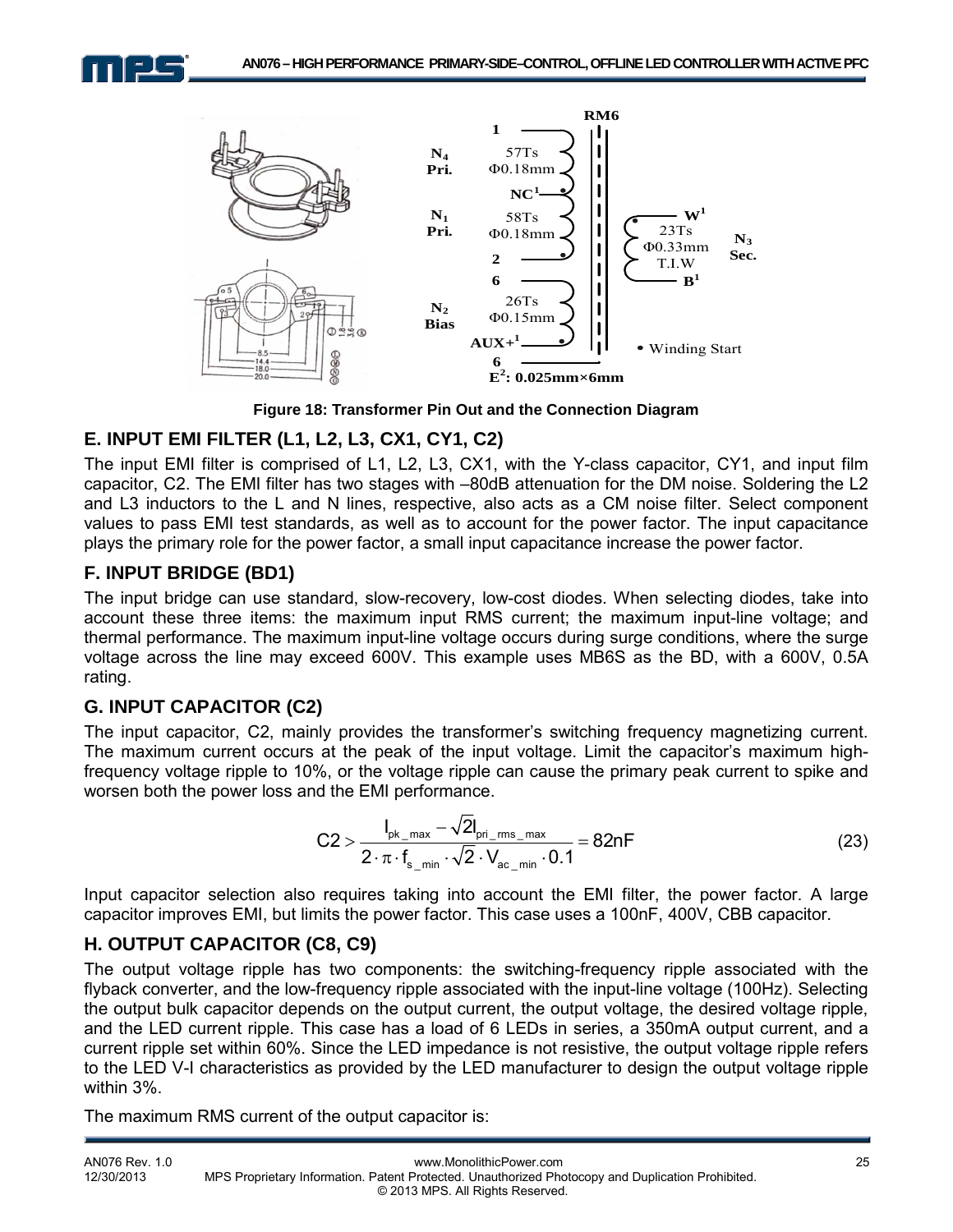



**Figure 18: Transformer Pin Out and the Connection Diagram**

# **E. INPUT EMI FILTER (L1, L2, L3, CX1, CY1, C2)**

The input EMI filter is comprised of L1, L2, L3, CX1, with the Y-class capacitor, CY1, and input film capacitor, C2. The EMI filter has two stages with –80dB attenuation for the DM noise. Soldering the L2 and L3 inductors to the L and N lines, respective, also acts as a CM noise filter. Select component values to pass EMI test standards, as well as to account for the power factor. The input capacitance plays the primary role for the power factor, a small input capacitance increase the power factor.

# **F. INPUT BRIDGE (BD1)**

The input bridge can use standard, slow-recovery, low-cost diodes. When selecting diodes, take into account these three items: the maximum input RMS current; the maximum input-line voltage; and thermal performance. The maximum input-line voltage occurs during surge conditions, where the surge voltage across the line may exceed 600V. This example uses MB6S as the BD, with a 600V, 0.5A rating.

# **G. INPUT CAPACITOR (C2)**

The input capacitor, C2, mainly provides the transformer's switching frequency magnetizing current. The maximum current occurs at the peak of the input voltage. Limit the capacitor's maximum highfrequency voltage ripple to 10%, or the voltage ripple can cause the primary peak current to spike and worsen both the power loss and the EMI performance.

$$
C2 > \frac{I_{\text{pk\_max}} - \sqrt{2}I_{\text{pri\_rms\_max}}}{2 \cdot \pi \cdot f_{\text{s\_min}} \cdot \sqrt{2} \cdot V_{\text{ac\_min}} \cdot 0.1} = 82nF
$$
\n(23)

Input capacitor selection also requires taking into account the EMI filter, the power factor. A large capacitor improves EMI, but limits the power factor. This case uses a 100nF, 400V, CBB capacitor.

#### **H. OUTPUT CAPACITOR (C8, C9)**

The output voltage ripple has two components: the switching-frequency ripple associated with the flyback converter, and the low-frequency ripple associated with the input-line voltage (100Hz). Selecting the output bulk capacitor depends on the output current, the output voltage, the desired voltage ripple, and the LED current ripple. This case has a load of 6 LEDs in series, a 350mA output current, and a current ripple set within 60%. Since the LED impedance is not resistive, the output voltage ripple refers to the LED V-I characteristics as provided by the LED manufacturer to design the output voltage ripple within 3%.

The maximum RMS current of the output capacitor is: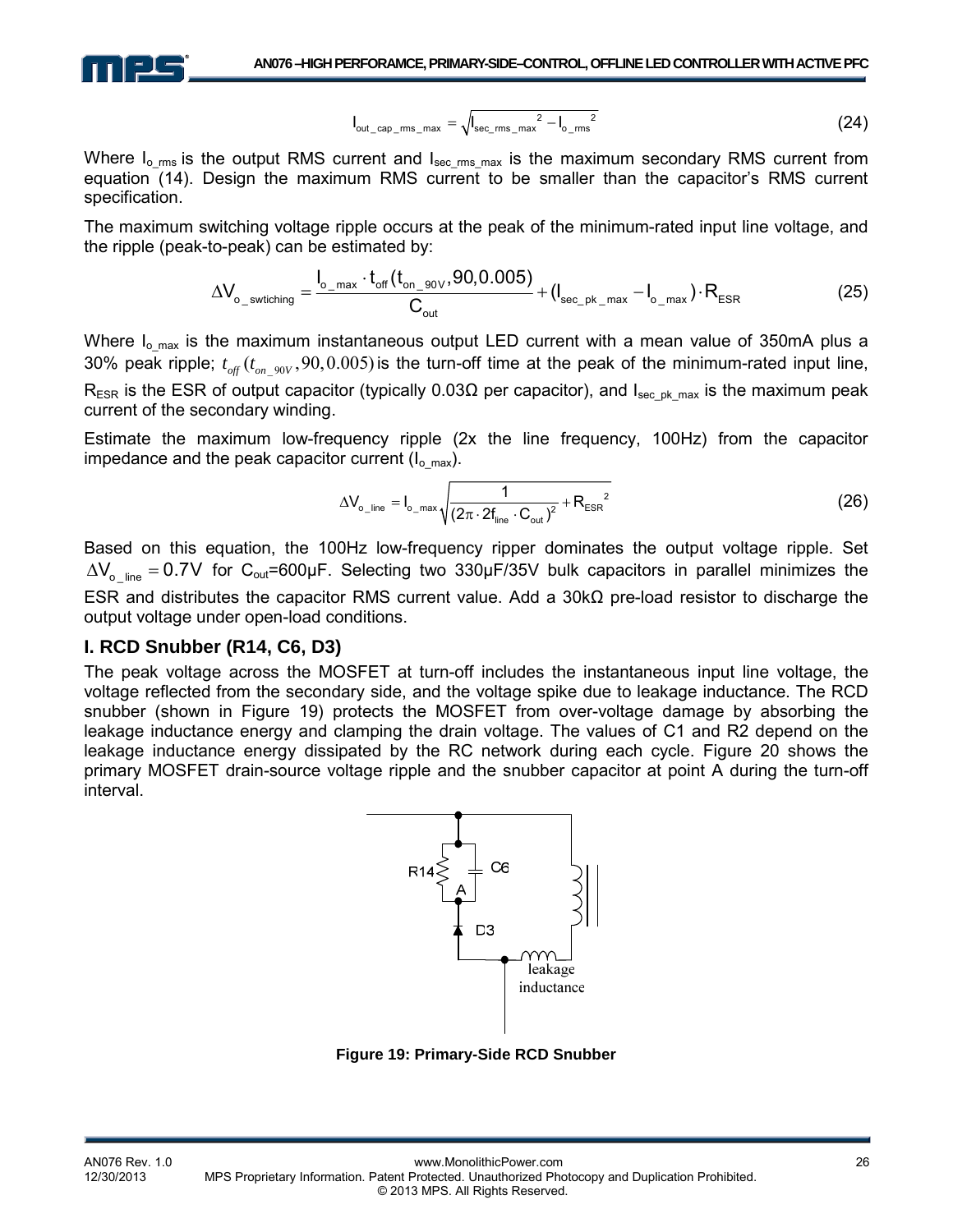

$$
I_{\text{out\_cap\_ms\_max}} = \sqrt{I_{\text{sec\_rms\_max}}^2 - I_{o\_rms}^2}
$$
 (24)

Where  $I_o$ <sub>rms</sub> is the output RMS current and  $I_{\text{sec rms max}}$  is the maximum secondary RMS current from equation (14). Design the maximum RMS current to be smaller than the capacitor's RMS current specification.

The maximum switching voltage ripple occurs at the peak of the minimum-rated input line voltage, and the ripple (peak-to-peak) can be estimated by:

$$
\Delta V_{o\_switching} = \frac{I_{o\_max} \cdot t_{off}(t_{on\_90\vee}, 90, 0.005)}{C_{out}} + (I_{sec\_pk\_max} - I_{o\_max}) \cdot R_{ESR}
$$
(25)

Where  $I_{o,max}$  is the maximum instantaneous output LED current with a mean value of 350mA plus a 30% peak ripple;  $t_{\text{off}}(t_{\text{on\_90V}}, 90, 0.005)$  is the turn-off time at the peak of the minimum-rated input line,  $R_{ESR}$  is the ESR of output capacitor (typically 0.03 $\Omega$  per capacitor), and  $I_{secp}$ <sub>M</sub> max is the maximum peak current of the secondary winding.

Estimate the maximum low-frequency ripple (2x the line frequency, 100Hz) from the capacitor impedance and the peak capacitor current  $(I_{o,max})$ .

$$
\Delta V_{o\_line} = I_{o\_max} \sqrt{\frac{1}{\left(2\pi \cdot 2f_{line} \cdot C_{out}\right)^{2}} + R_{ESR}^{2}}
$$
(26)

Based on this equation, the 100Hz low-frequency ripper dominates the output voltage ripple. Set  $\Delta V_{\text{o}}$  line = 0.7V for C<sub>out</sub>=600µF. Selecting two 330µF/35V bulk capacitors in parallel minimizes the ESR and distributes the capacitor RMS current value. Add a 30kΩ pre-load resistor to discharge the output voltage under open-load conditions.

#### **I. RCD Snubber (R14, C6, D3)**

The peak voltage across the MOSFET at turn-off includes the instantaneous input line voltage, the voltage reflected from the secondary side, and the voltage spike due to leakage inductance. The RCD snubber (shown in Figure 19) protects the MOSFET from over-voltage damage by absorbing the leakage inductance energy and clamping the drain voltage. The values of C1 and R2 depend on the leakage inductance energy dissipated by the RC network during each cycle. Figure 20 shows the primary MOSFET drain-source voltage ripple and the snubber capacitor at point A during the turn-off interval.



**Figure 19: Primary-Side RCD Snubber**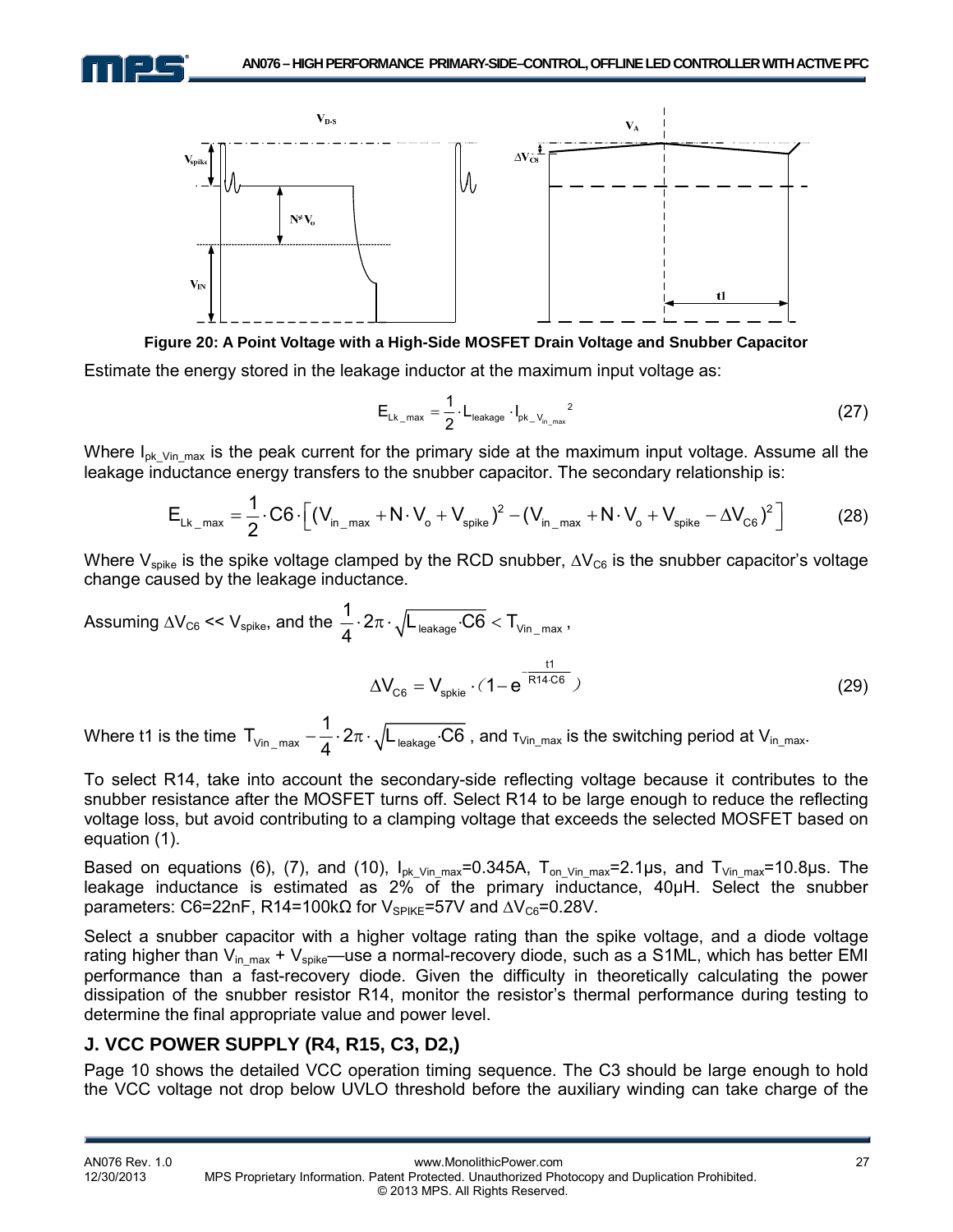



**Figure 20: A Point Voltage with a High-Side MOSFET Drain Voltage and Snubber Capacitor**

Estimate the energy stored in the leakage inductor at the maximum input voltage as:

$$
E_{\text{Lk\_max}} = \frac{1}{2} \cdot L_{\text{leakage}} \cdot I_{\text{pk}\_\text{V}_{\text{in}\_\text{max}}}^2 \tag{27}
$$

Where  $I_{pk\text{ Vin}\ \text{max}}$  is the peak current for the primary side at the maximum input voltage. Assume all the leakage inductance energy transfers to the snubber capacitor. The secondary relationship is:

$$
E_{Lk_{\text{max}}} = \frac{1}{2} \cdot C6 \cdot \left[ (V_{in_{\text{max}}} + N \cdot V_{o} + V_{spike})^{2} - (V_{in_{\text{max}}} + N \cdot V_{o} + V_{spike} - \Delta V_{C6})^{2} \right]
$$
(28)

Where V<sub>spike</sub> is the spike voltage clamped by the RCD snubber,  $\Delta V_{C6}$  is the snubber capacitor's voltage change caused by the leakage inductance.

Assuming 
$$
\Delta V_{C6} \ll V_{spike}
$$
, and the  $\frac{1}{4} \cdot 2\pi \cdot \sqrt{L_{\text{leakage}} \cdot C6} < T_{\text{vin\_max}}$ ,  
\n
$$
\Delta V_{C6} = V_{spkie} \cdot (1 - e^{\frac{t1}{R14 \cdot C6}})
$$
\n(29)

Where t1 is the time  $\mathsf{T}_{\mathsf{Vin\_max}} - \frac{1}{4} \cdot 2\pi \cdot \sqrt{\mathsf{L}_{\mathsf{leakage}}{\cdot}\mathsf{C6}}$  $\frac{1}{4} \cdot 2\pi \cdot \sqrt{\mathsf{L}}_{\mathsf{leakage}} \cdot \mathsf{C6}$  , and  $\tau_\mathsf{Vin\_max}$  is the switching period at  $\mathsf{V}_{\mathsf{in\_max}}.$ 

To select R14, take into account the secondary-side reflecting voltage because it contributes to the snubber resistance after the MOSFET turns off. Select R14 to be large enough to reduce the reflecting voltage loss, but avoid contributing to a clamping voltage that exceeds the selected MOSFET based on equation (1).

Based on equations (6), (7), and (10),  $I_{pk}$  v<sub>in max</sub>=0.345A, T<sub>on Vin</sub> <sub>max</sub>=2.1µs, and T<sub>Vin max</sub>=10.8µs. The leakage inductance is estimated as 2% of the primary inductance, 40μH. Select the snubber parameters: C6=22nF, R14=100kΩ for  $V_{SPIKE}$ =57V and  $\Delta V_{C6}$ =0.28V.

Select a snubber capacitor with a higher voltage rating than the spike voltage, and a diode voltage rating higher than  $V_{in\_max} + V_{spike}$ —use a normal-recovery diode, such as a S1ML, which has better EMI performance than a fast-recovery diode. Given the difficulty in theoretically calculating the power dissipation of the snubber resistor R14, monitor the resistor's thermal performance during testing to determine the final appropriate value and power level.

#### **J. VCC POWER SUPPLY (R4, R15, C3, D2,)**

Page 10 shows the detailed VCC operation timing sequence. The C3 should be large enough to hold the VCC voltage not drop below UVLO threshold before the auxiliary winding can take charge of the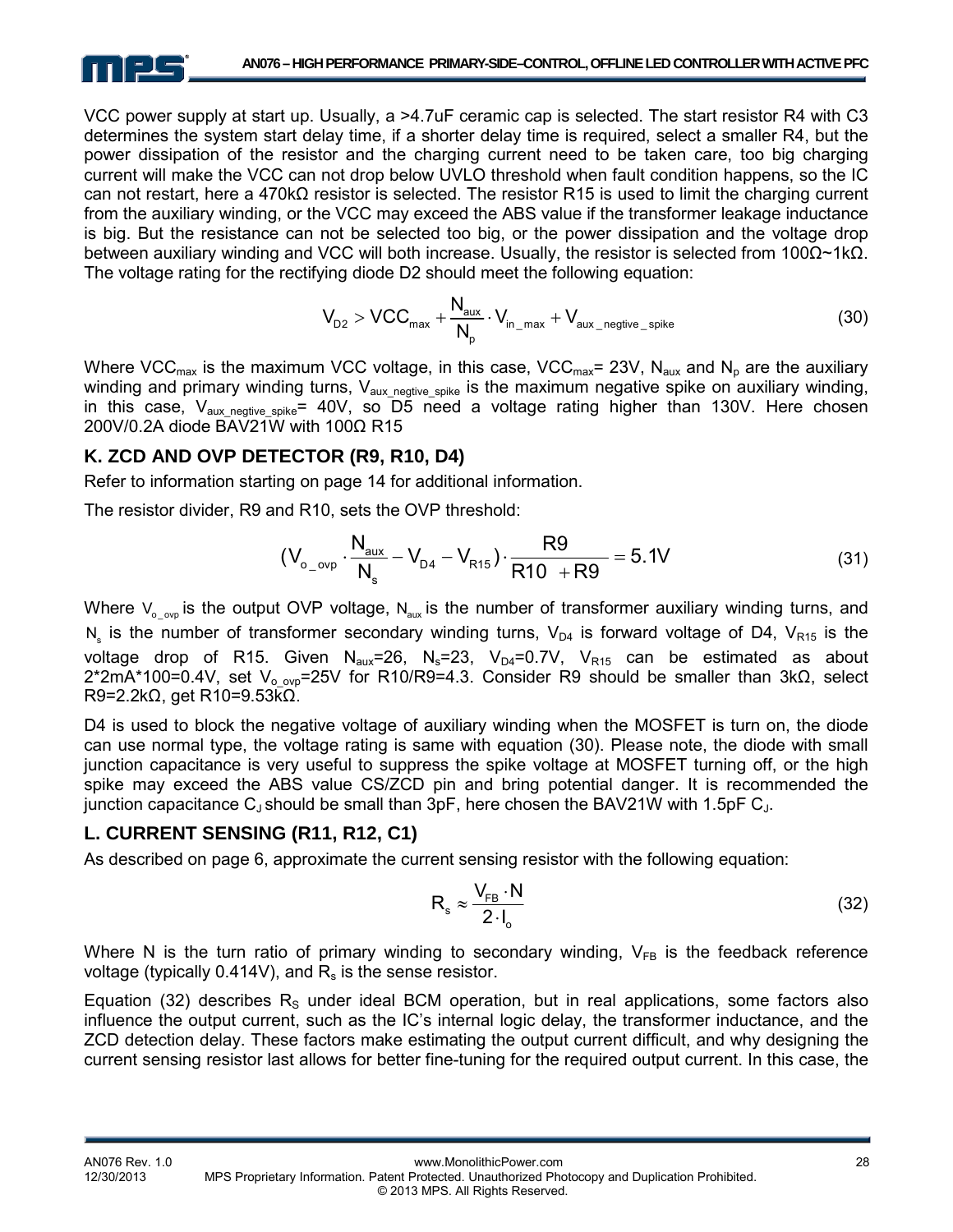

VCC power supply at start up. Usually, a >4.7uF ceramic cap is selected. The start resistor R4 with C3 determines the system start delay time, if a shorter delay time is required, select a smaller R4, but the power dissipation of the resistor and the charging current need to be taken care, too big charging current will make the VCC can not drop below UVLO threshold when fault condition happens, so the IC can not restart, here a 470kΩ resistor is selected. The resistor R15 is used to limit the charging current from the auxiliary winding, or the VCC may exceed the ABS value if the transformer leakage inductance is big. But the resistance can not be selected too big, or the power dissipation and the voltage drop between auxiliary winding and VCC will both increase. Usually, the resistor is selected from 100Ω~1kΩ. The voltage rating for the rectifying diode D2 should meet the following equation:

$$
V_{D2} > VCC_{max} + \frac{N_{aux}}{N_p} \cdot V_{in\_max} + V_{aux\_negative\_spike}
$$
 (30)

Where VCC<sub>max</sub> is the maximum VCC voltage, in this case, VCC<sub>max</sub>= 23V, N<sub>aux</sub> and N<sub>p</sub> are the auxiliary winding and primary winding turns,  $V_{\text{aux negative spike}}$  is the maximum negative spike on auxiliary winding, in this case,  $V_{\text{aux negative spike}} = 40V$ , so D5 need a voltage rating higher than 130V. Here chosen 200V/0.2A diode BAV21W with 100Ω R15

#### **K. ZCD AND OVP DETECTOR (R9, R10, D4)**

Refer to information starting on page 14 for additional information.

The resistor divider, R9 and R10, sets the OVP threshold:

$$
(V_{o\_ovp} \cdot \frac{N_{aux}}{N_s} - V_{D4} - V_{R15}) \cdot \frac{R9}{R10 + R9} = 5.1V
$$
 (31)

Where  $V_{\alpha}$  ovary is the output OVP voltage, N<sub>aux</sub> is the number of transformer auxiliary winding turns, and N<sub>s</sub> is the number of transformer secondary winding turns,  $V_{DA}$  is forward voltage of D4, V<sub>R15</sub> is the voltage drop of R15. Given  $N_{\text{aux}}=26$ ,  $N_{\text{s}}=23$ ,  $V_{\text{D4}}=0.7V$ ,  $V_{\text{R15}}$  can be estimated as about  $2*2mA*100=0.4V$ , set V<sub>o-ovp</sub>=25V for R10/R9=4.3. Consider R9 should be smaller than 3kΩ, select R9=2.2kΩ, get R10=9.53kΩ.

D4 is used to block the negative voltage of auxiliary winding when the MOSFET is turn on, the diode can use normal type, the voltage rating is same with equation (30). Please note, the diode with small junction capacitance is very useful to suppress the spike voltage at MOSFET turning off, or the high spike may exceed the ABS value CS/ZCD pin and bring potential danger. It is recommended the junction capacitance  $C_{\text{J}}$  should be small than 3pF, here chosen the BAV21W with 1.5pF  $C_{\text{J}}$ .

#### **L. CURRENT SENSING (R11, R12, C1)**

As described on page 6, approximate the current sensing resistor with the following equation:

$$
R_s \approx \frac{V_{FB} \cdot N}{2 \cdot I_o} \tag{32}
$$

Where N is the turn ratio of primary winding to secondary winding,  $V_{FB}$  is the feedback reference voltage (typically  $0.414V$ ), and  $R_s$  is the sense resistor.

Equation (32) describes  $R<sub>s</sub>$  under ideal BCM operation, but in real applications, some factors also influence the output current, such as the IC's internal logic delay, the transformer inductance, and the ZCD detection delay. These factors make estimating the output current difficult, and why designing the current sensing resistor last allows for better fine-tuning for the required output current. In this case, the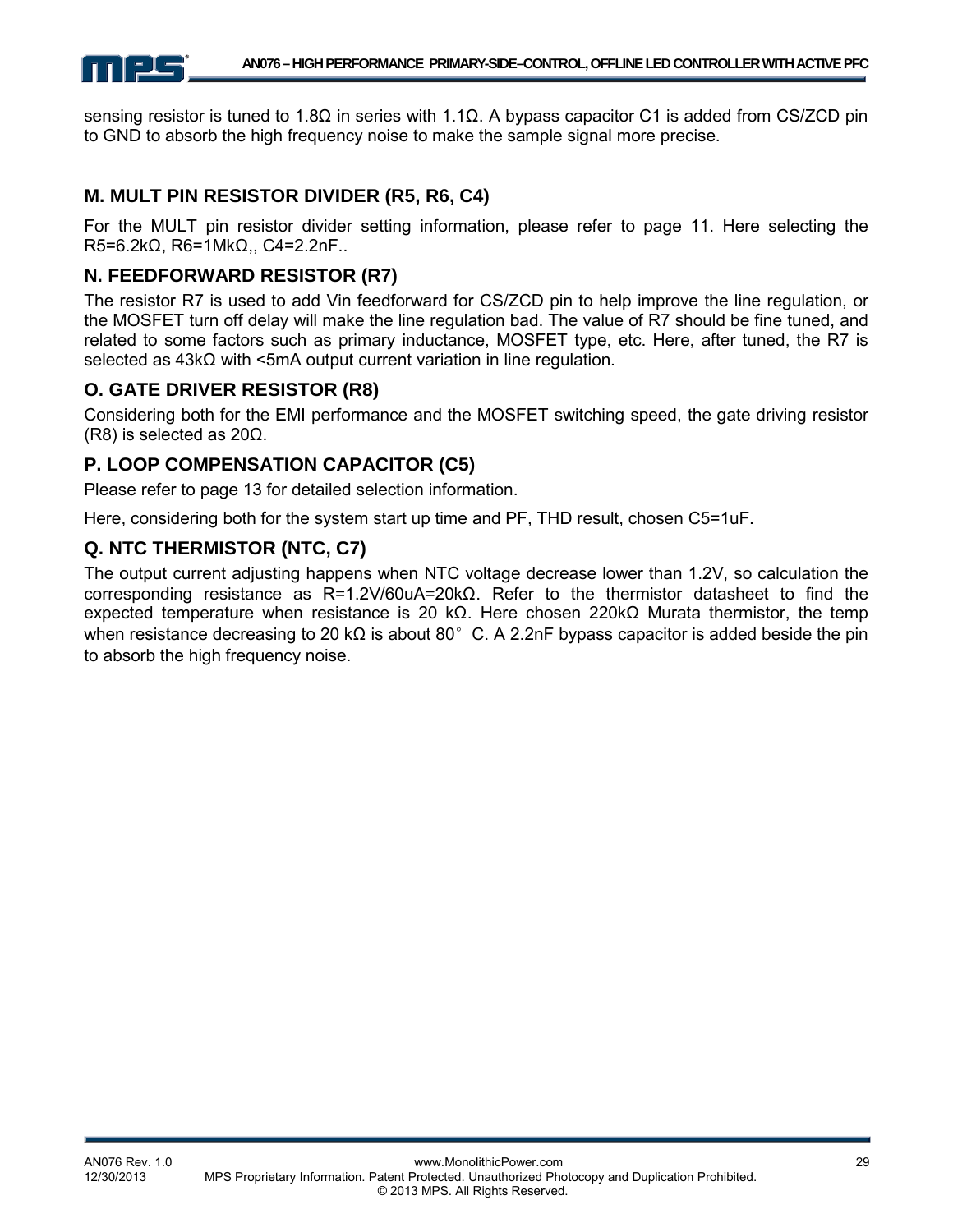

sensing resistor is tuned to 1.8Ω in series with 1.1Ω. A bypass capacitor C1 is added from CS/ZCD pin to GND to absorb the high frequency noise to make the sample signal more precise.

## **M. MULT PIN RESISTOR DIVIDER (R5, R6, C4)**

For the MULT pin resistor divider setting information, please refer to page 11. Here selecting the R5=6.2kΩ, R6=1MkΩ,, C4=2.2nF..

#### **N. FEEDFORWARD RESISTOR (R7)**

The resistor R7 is used to add Vin feedforward for CS/ZCD pin to help improve the line regulation, or the MOSFET turn off delay will make the line regulation bad. The value of R7 should be fine tuned, and related to some factors such as primary inductance, MOSFET type, etc. Here, after tuned, the R7 is selected as 43kΩ with <5mA output current variation in line regulation.

#### **O. GATE DRIVER RESISTOR (R8)**

Considering both for the EMI performance and the MOSFET switching speed, the gate driving resistor (R8) is selected as 20Ω.

#### **P. LOOP COMPENSATION CAPACITOR (C5)**

Please refer to page 13 for detailed selection information.

Here, considering both for the system start up time and PF, THD result, chosen C5=1uF.

#### **Q. NTC THERMISTOR (NTC, C7)**

The output current adjusting happens when NTC voltage decrease lower than 1.2V, so calculation the corresponding resistance as R=1.2V/60uA=20kΩ. Refer to the thermistor datasheet to find the expected temperature when resistance is 20 kΩ. Here chosen 220kΩ Murata thermistor, the temp when resistance decreasing to 20 k $\Omega$  is about 80°C. A 2.2nF bypass capacitor is added beside the pin to absorb the high frequency noise.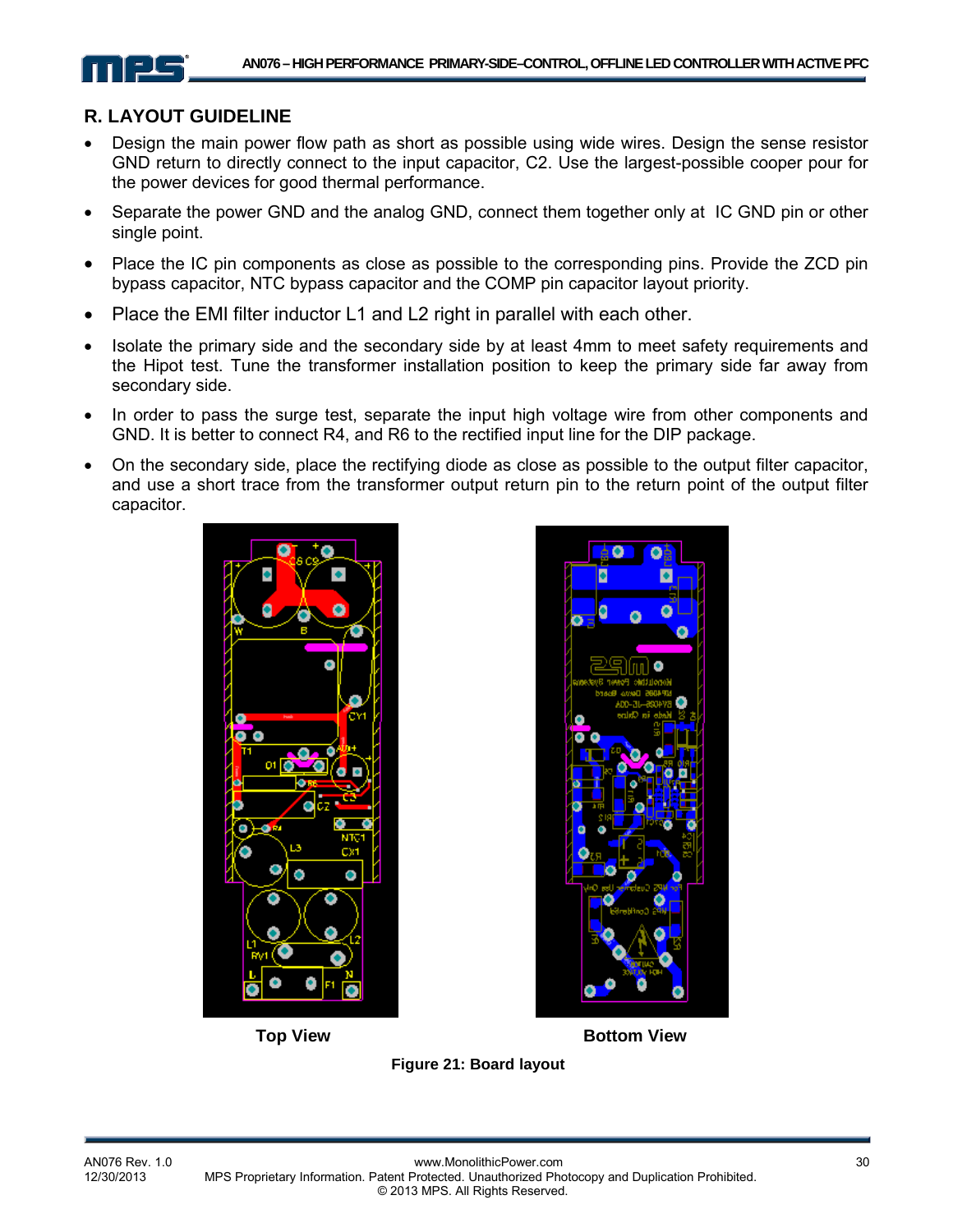#### **R. LAYOUT GUIDELINE**

- Design the main power flow path as short as possible using wide wires. Design the sense resistor GND return to directly connect to the input capacitor, C2. Use the largest-possible cooper pour for the power devices for good thermal performance.
- Separate the power GND and the analog GND, connect them together only at IC GND pin or other single point.
- Place the IC pin components as close as possible to the corresponding pins. Provide the ZCD pin bypass capacitor, NTC bypass capacitor and the COMP pin capacitor layout priority.
- Place the EMI filter inductor L1 and L2 right in parallel with each other.
- Isolate the primary side and the secondary side by at least 4mm to meet safety requirements and the Hipot test. Tune the transformer installation position to keep the primary side far away from secondary side.
- In order to pass the surge test, separate the input high voltage wire from other components and GND. It is better to connect R4, and R6 to the rectified input line for the DIP package.
- On the secondary side, place the rectifying diode as close as possible to the output filter capacitor, and use a short trace from the transformer output return pin to the return point of the output filter capacitor.





**Top View Bottom View** 

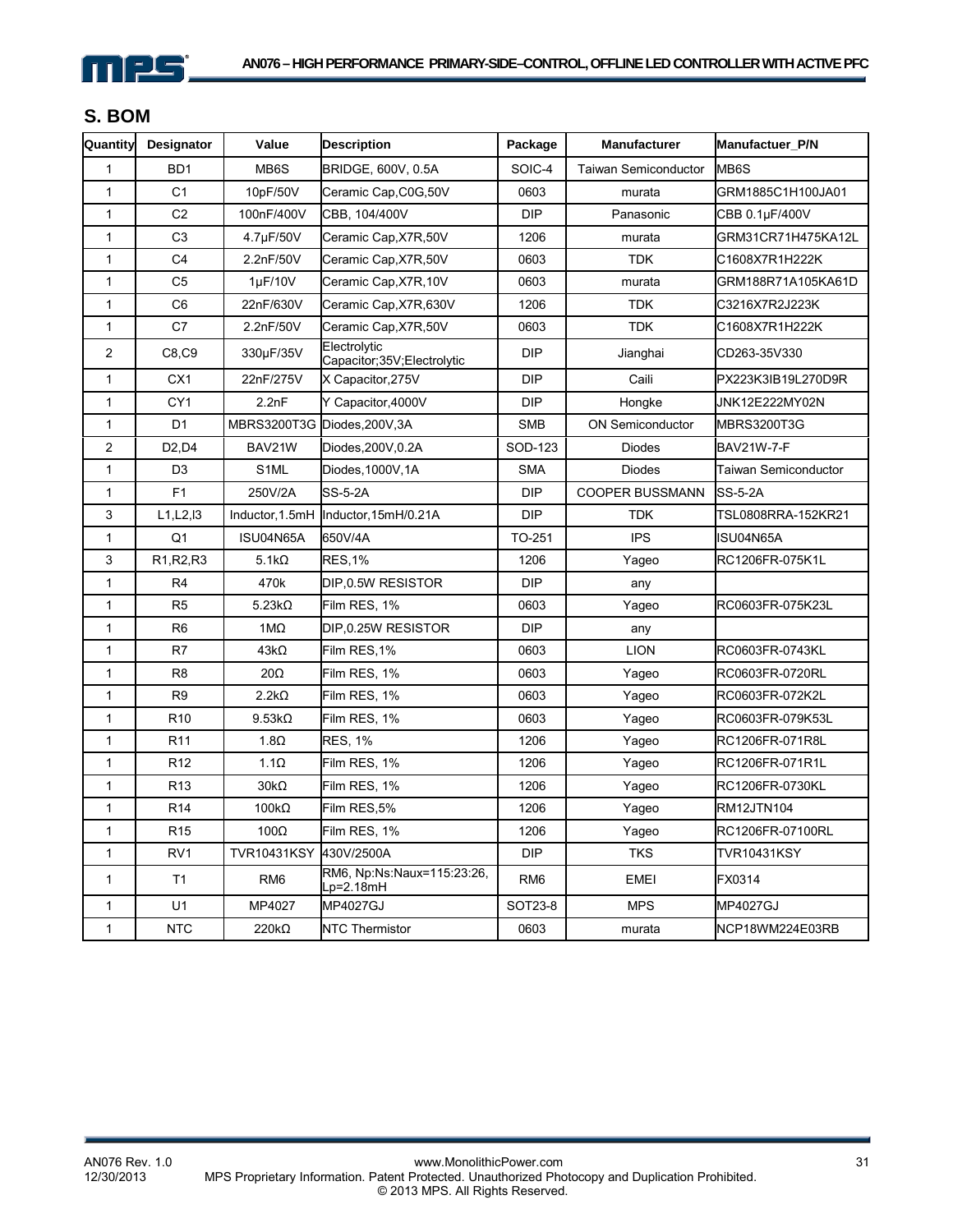

# **S. BOM**

| Quantity       | Designator                                       | Value              | <b>Description</b>                         | Package         | <b>Manufacturer</b>    | <b>Manufactuer P/N</b> |
|----------------|--------------------------------------------------|--------------------|--------------------------------------------|-----------------|------------------------|------------------------|
| $\mathbf{1}$   | BD1                                              | MB6S               | BRIDGE, 600V, 0.5A                         | SOIC-4          | Taiwan Semiconductor   | MB6S                   |
| $\mathbf{1}$   | C <sub>1</sub>                                   | 10pF/50V           | Ceramic Cap, C0G, 50V                      | 0603<br>murata  |                        | GRM1885C1H100JA01      |
| 1              | C <sub>2</sub>                                   | 100nF/400V         | CBB, 104/400V                              | <b>DIP</b>      | Panasonic              | CBB 0.1µF/400V         |
| 1              | C <sub>3</sub>                                   | 4.7µF/50V          | Ceramic Cap, X7R, 50V                      | 1206            | murata                 | GRM31CR71H475KA12L     |
| $\mathbf{1}$   | C <sub>4</sub>                                   | 2.2nF/50V          | Ceramic Cap, X7R, 50V                      | 0603            | <b>TDK</b>             | C1608X7R1H222K         |
| 1              | C <sub>5</sub>                                   | $1\mu$ F/10V       | Ceramic Cap, X7R, 10V                      | 0603            | murata                 | GRM188R71A105KA61D     |
| $\mathbf{1}$   | C <sub>6</sub>                                   | 22nF/630V          | Ceramic Cap, X7R, 630V                     | 1206            | <b>TDK</b>             | C3216X7R2J223K         |
| 1              | C7                                               | 2.2nF/50V          | Ceramic Cap, X7R, 50V                      | 0603            | <b>TDK</b>             | C1608X7R1H222K         |
| $\overline{2}$ | C8,C9                                            | 330µF/35V          | Electrolytic<br>Capacitor;35V;Electrolytic | <b>DIP</b>      | Jianghai               | CD263-35V330           |
| 1              | CX <sub>1</sub>                                  | 22nF/275V          | X Capacitor, 275V                          | <b>DIP</b>      | Caili                  | PX223K3IB19L270D9R     |
| 1              | CY <sub>1</sub>                                  | 2.2nF              | Y Capacitor, 4000V                         | <b>DIP</b>      | Hongke                 | JNK12E222MY02N         |
| $\mathbf{1}$   | D <sub>1</sub>                                   | MBRS3200T3G        | Diodes, 200V, 3A                           | SMB             | ON Semiconductor       | MBRS3200T3G            |
| $\overline{c}$ | D <sub>2</sub> , D <sub>4</sub>                  | BAV21W             | Diodes, 200V, 0.2A                         | SOD-123         | <b>Diodes</b>          | <b>BAV21W-7-F</b>      |
| 1              | D <sub>3</sub>                                   | S <sub>1</sub> ML  | Diodes, 1000V, 1A                          | <b>SMA</b>      | <b>Diodes</b>          | Taiwan Semiconductor   |
| 1              | F1                                               | 250V/2A            | <b>SS-5-2A</b>                             | <b>DIP</b>      | <b>COOPER BUSSMANN</b> | <b>SS-5-2A</b>         |
| 3              | L1, L2, I3                                       | Inductor, 1.5mH    | Inductor, 15mH/0.21A                       | <b>DIP</b>      | <b>TDK</b>             | TSL0808RRA-152KR21     |
| 1              | Q1                                               | ISU04N65A          | 650V/4A                                    | TO-251          | <b>IPS</b>             | ISU04N65A              |
| 3              | R <sub>1</sub> , R <sub>2</sub> , R <sub>3</sub> | $5.1k\Omega$       | <b>RES,1%</b>                              | 1206            | Yageo                  | RC1206FR-075K1L        |
| $\mathbf{1}$   | R <sub>4</sub>                                   | 470k               | <b>DIP</b><br>DIP, 0.5W RESISTOR<br>any    |                 |                        |                        |
| 1              | R <sub>5</sub>                                   | $5.23k\Omega$      | Film RES, 1%                               | 0603            | Yageo                  | RC0603FR-075K23L       |
| $\mathbf{1}$   | R <sub>6</sub>                                   | $1M\Omega$         | DIP, 0.25W RESISTOR                        | <b>DIP</b>      | any                    |                        |
| $\mathbf{1}$   | R7                                               | $43k\Omega$        | Film RES,1%                                | 0603            | <b>LION</b>            | RC0603FR-0743KL        |
| $\mathbf{1}$   | R <sub>8</sub>                                   | $20\Omega$         | Film RES, 1%                               | 0603            | Yageo                  | RC0603FR-0720RL        |
| 1              | R <sub>9</sub>                                   | $2.2k\Omega$       | Film RES, 1%                               | 0603            | Yageo                  | RC0603FR-072K2L        |
| $\mathbf{1}$   | R <sub>10</sub>                                  | $9.53k\Omega$      | Film RES, 1%                               | 0603            | Yageo                  | RC0603FR-079K53L       |
| $\mathbf{1}$   | R <sub>11</sub>                                  | $1.8\Omega$        | <b>RES, 1%</b>                             | 1206            | Yageo                  | RC1206FR-071R8L        |
| $\mathbf{1}$   | R <sub>12</sub>                                  | $1.1\Omega$        | Film RES, 1%                               | 1206            | Yageo                  | RC1206FR-071R1L        |
| $\mathbf{1}$   | R <sub>13</sub>                                  | $30k\Omega$        | Film RES, 1%                               | 1206            | Yageo                  | RC1206FR-0730KL        |
| 1              | R <sub>14</sub>                                  | $100k\Omega$       | Film RES,5%                                | 1206            | Yageo                  | <b>RM12JTN104</b>      |
| $\mathbf{1}$   | R <sub>15</sub>                                  | $100\Omega$        | Film RES, 1%                               | 1206            | Yageo                  | RC1206FR-07100RL       |
| $\mathbf{1}$   | RV <sub>1</sub>                                  | <b>TVR10431KSY</b> | 430V/2500A                                 | <b>DIP</b>      | <b>TKS</b>             | <b>TVR10431KSY</b>     |
| $\mathbf{1}$   | T1                                               | RM <sub>6</sub>    | RM6, Np:Ns:Naux=115:23:26,<br>Lp=2.18mH    | RM <sub>6</sub> | <b>EMEI</b>            | FX0314                 |
| 1              | U1                                               | MP4027             | MP4027GJ                                   | SOT23-8         | <b>MPS</b>             | MP4027GJ               |
| $\mathbf{1}$   | <b>NTC</b>                                       | $220k\Omega$       | <b>NTC Thermistor</b>                      | 0603            | murata                 | NCP18WM224E03RB        |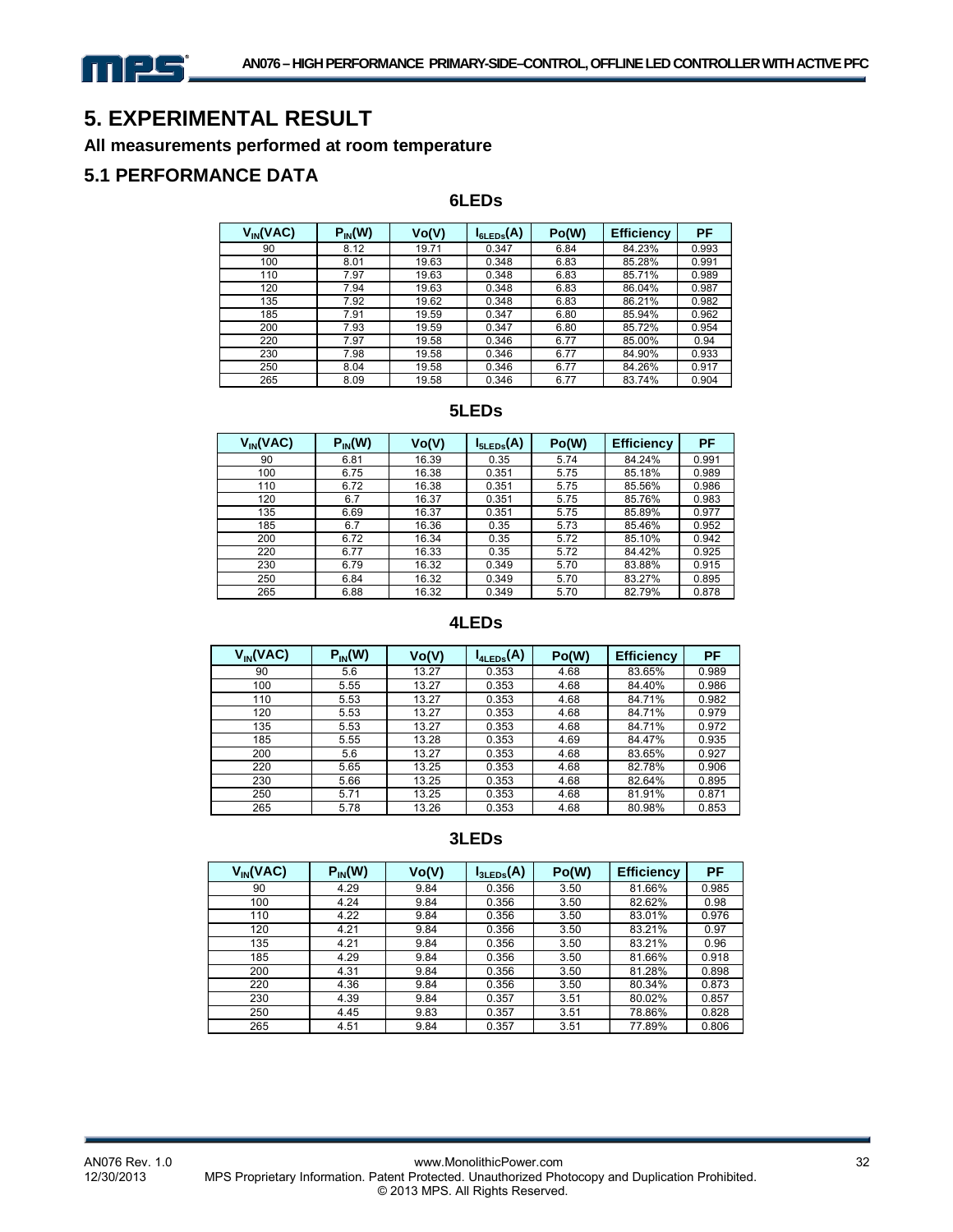

# **5. EXPERIMENTAL RESULT**

#### **All measurements performed at room temperature**

#### **5.1 PERFORMANCE DATA**

#### **6LEDs**

| $V_{IN}(VAC)$ | $P_{IN}(W)$ | Vo(V) | $I_{6LEDs}(A)$ | Po(W) | <b>Efficiency</b> | PF    |
|---------------|-------------|-------|----------------|-------|-------------------|-------|
| 90            | 8.12        | 19.71 | 0.347          | 6.84  | 84.23%            | 0.993 |
| 100           | 8.01        | 19.63 | 0.348          | 6.83  | 85.28%            | 0.991 |
| 110           | 7.97        | 19.63 | 0.348          | 6.83  | 85.71%            | 0.989 |
| 120           | 7.94        | 19.63 | 0.348          | 6.83  | 86.04%            | 0.987 |
| 135           | 7.92        | 19.62 | 0.348          | 6.83  | 86.21%            | 0.982 |
| 185           | 7.91        | 19.59 | 0.347          | 6.80  | 85.94%            | 0.962 |
| 200           | 7.93        | 19.59 | 0.347          | 6.80  | 85.72%            | 0.954 |
| 220           | 7.97        | 19.58 | 0.346          | 6.77  | 85.00%            | 0.94  |
| 230           | 7.98        | 19.58 | 0.346          | 6.77  | 84.90%            | 0.933 |
| 250           | 8.04        | 19.58 | 0.346          | 6.77  | 84.26%            | 0.917 |
| 265           | 8.09        | 19.58 | 0.346          | 6.77  | 83.74%            | 0.904 |

#### **5LEDs**

| $V_{IN}(VAC)$ | $P_{IN}(W)$ | Vo(V) | $I_{5LEDs}(A)$ | Po(W) | <b>Efficiency</b> | PF    |
|---------------|-------------|-------|----------------|-------|-------------------|-------|
| 90            | 6.81        | 16.39 | 0.35           | 5.74  | 84.24%            | 0.991 |
| 100           | 6.75        | 16.38 | 0.351          | 5.75  | 85.18%            | 0.989 |
| 110           | 6.72        | 16.38 | 0.351          | 5.75  | 85.56%            | 0.986 |
| 120           | 6.7         | 16.37 | 0.351          | 5.75  | 85.76%            | 0.983 |
| 135           | 6.69        | 16.37 | 0.351          | 5.75  | 85.89%            | 0.977 |
| 185           | 6.7         | 16.36 | 0.35           | 5.73  | 85.46%            | 0.952 |
| 200           | 6.72        | 16.34 | 0.35           | 5.72  | 85.10%            | 0.942 |
| 220           | 6.77        | 16.33 | 0.35           | 5.72  | 84.42%            | 0.925 |
| 230           | 6.79        | 16.32 | 0.349          | 5.70  | 83.88%            | 0.915 |
| 250           | 6.84        | 16.32 | 0.349          | 5.70  | 83.27%            | 0.895 |
| 265           | 6.88        | 16.32 | 0.349          | 5.70  | 82.79%            | 0.878 |

#### **4LEDs**

| $V_{IN}(VAC)$ | $P_{IN}(W)$ | Vo(V) | $I_{4LEDs}(A)$ | Po(W) | <b>Efficiency</b> | PF    |
|---------------|-------------|-------|----------------|-------|-------------------|-------|
| 90            | 5.6         | 13.27 | 0.353          | 4.68  | 83.65%            | 0.989 |
| 100           | 5.55        | 13.27 | 0.353          | 4.68  | 84.40%            | 0.986 |
| 110           | 5.53        | 13.27 | 0.353          | 4.68  | 84.71%            | 0.982 |
| 120           | 5.53        | 13.27 | 0.353          | 4.68  | 84.71%            | 0.979 |
| 135           | 5.53        | 13.27 | 0.353          | 4.68  | 84.71%            | 0.972 |
| 185           | 5.55        | 13.28 | 0.353          | 4.69  | 84.47%            | 0.935 |
| 200           | 5.6         | 13.27 | 0.353          | 4.68  | 83.65%            | 0.927 |
| 220           | 5.65        | 13.25 | 0.353          | 4.68  | 82.78%            | 0.906 |
| 230           | 5.66        | 13.25 | 0.353          | 4.68  | 82.64%            | 0.895 |
| 250           | 5.71        | 13.25 | 0.353          | 4.68  | 81.91%            | 0.871 |
| 265           | 5.78        | 13.26 | 0.353          | 4.68  | 80.98%            | 0.853 |

#### **3LEDs**

| $V_{IN}(VAC)$ | $P_{IN}(W)$ | Vo(V) | $I_{3LEDs}(A)$ | Po(W) | <b>Efficiency</b> | PF    |
|---------------|-------------|-------|----------------|-------|-------------------|-------|
| 90            | 4.29        | 9.84  | 0.356          | 3.50  | 81.66%            | 0.985 |
| 100           | 4.24        | 9.84  | 0.356          | 3.50  | 82.62%            | 0.98  |
| 110           | 4.22        | 9.84  | 0.356          | 3.50  | 83.01%            | 0.976 |
| 120           | 4.21        | 9.84  | 0.356          | 3.50  | 83.21%            | 0.97  |
| 135           | 4.21        | 9.84  | 0.356          | 3.50  | 83.21%            | 0.96  |
| 185           | 4.29        | 9.84  | 0.356          | 3.50  | 81.66%            | 0.918 |
| 200           | 4.31        | 9.84  | 0.356          | 3.50  | 81.28%            | 0.898 |
| 220           | 4.36        | 9.84  | 0.356          | 3.50  | 80.34%            | 0.873 |
| 230           | 4.39        | 9.84  | 0.357          | 3.51  | 80.02%            | 0.857 |
| 250           | 4.45        | 9.83  | 0.357          | 3.51  | 78.86%            | 0.828 |
| 265           | 4.51        | 9.84  | 0.357          | 3.51  | 77.89%            | 0.806 |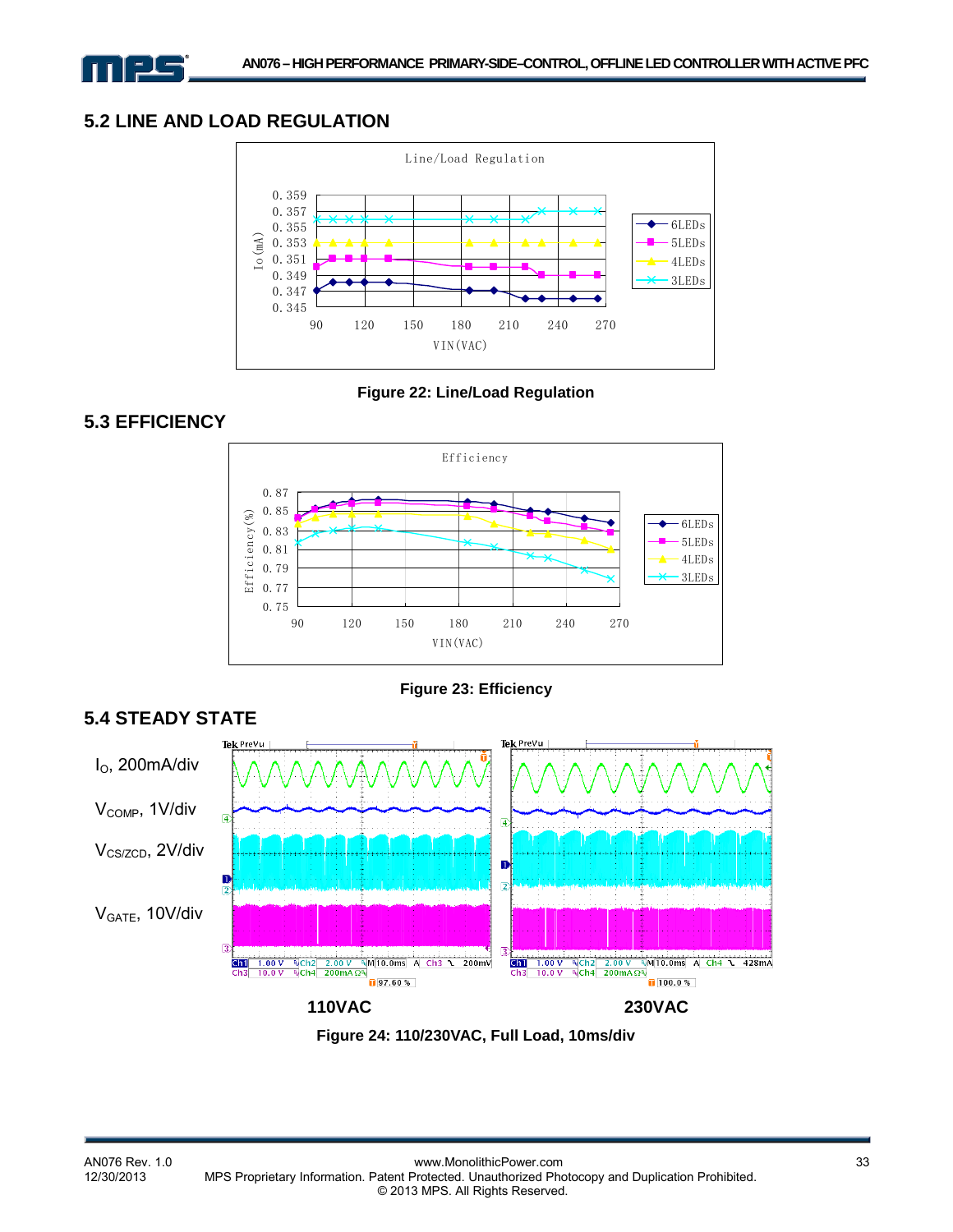

#### **5.2 LINE AND LOAD REGULATION**



**Figure 22: Line/Load Regulation** 

# **5.3 EFFICIENCY**

**5.4 STEADY STATE** 



**Figure 23: Efficiency** 



**Figure 24: 110/230VAC, Full Load, 10ms/div**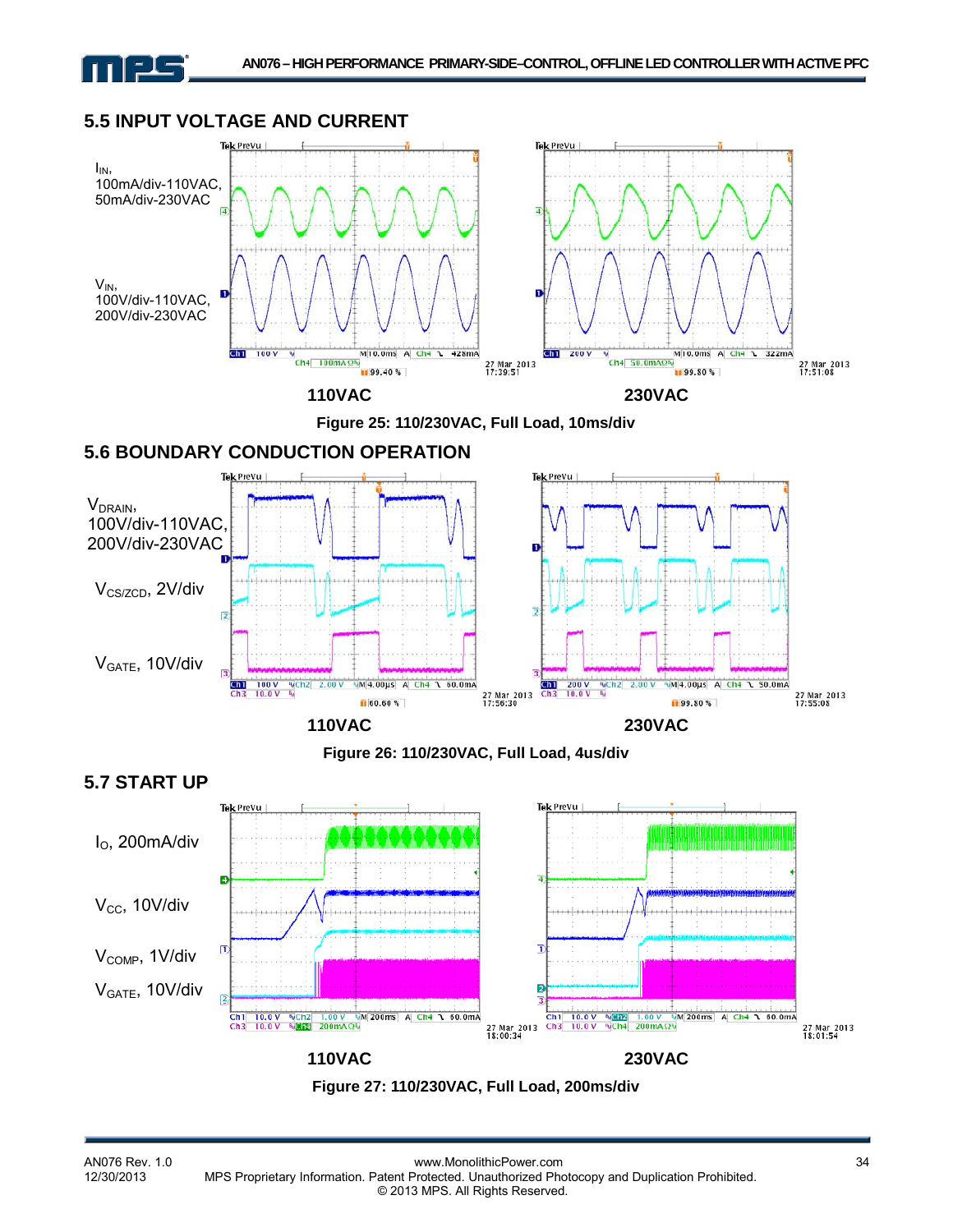# **5.5 INPUT VOLTAGE AND CURRENT**





# **5.6 BOUNDARY CONDUCTION OPERATION**



**Figure 26: 110/230VAC, Full Load, 4us/div** 



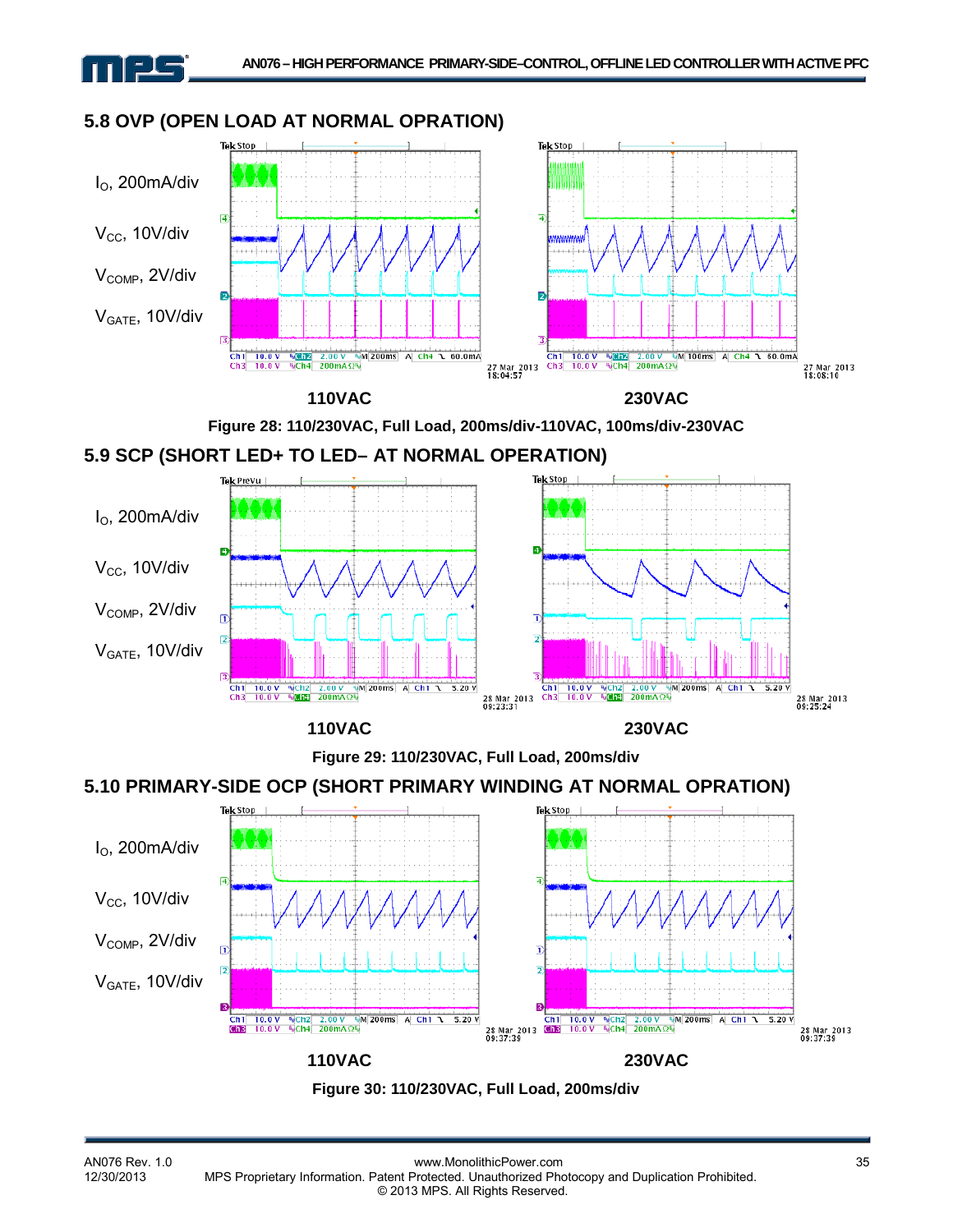## **5.8 OVP (OPEN LOAD AT NORMAL OPRATION)**





# **5.9 SCP (SHORT LED+ TO LED– AT NORMAL OPERATION)**



**Figure 29: 110/230VAC, Full Load, 200ms/div** 

# **5.10 PRIMARY-SIDE OCP (SHORT PRIMARY WINDING AT NORMAL OPRATION)**



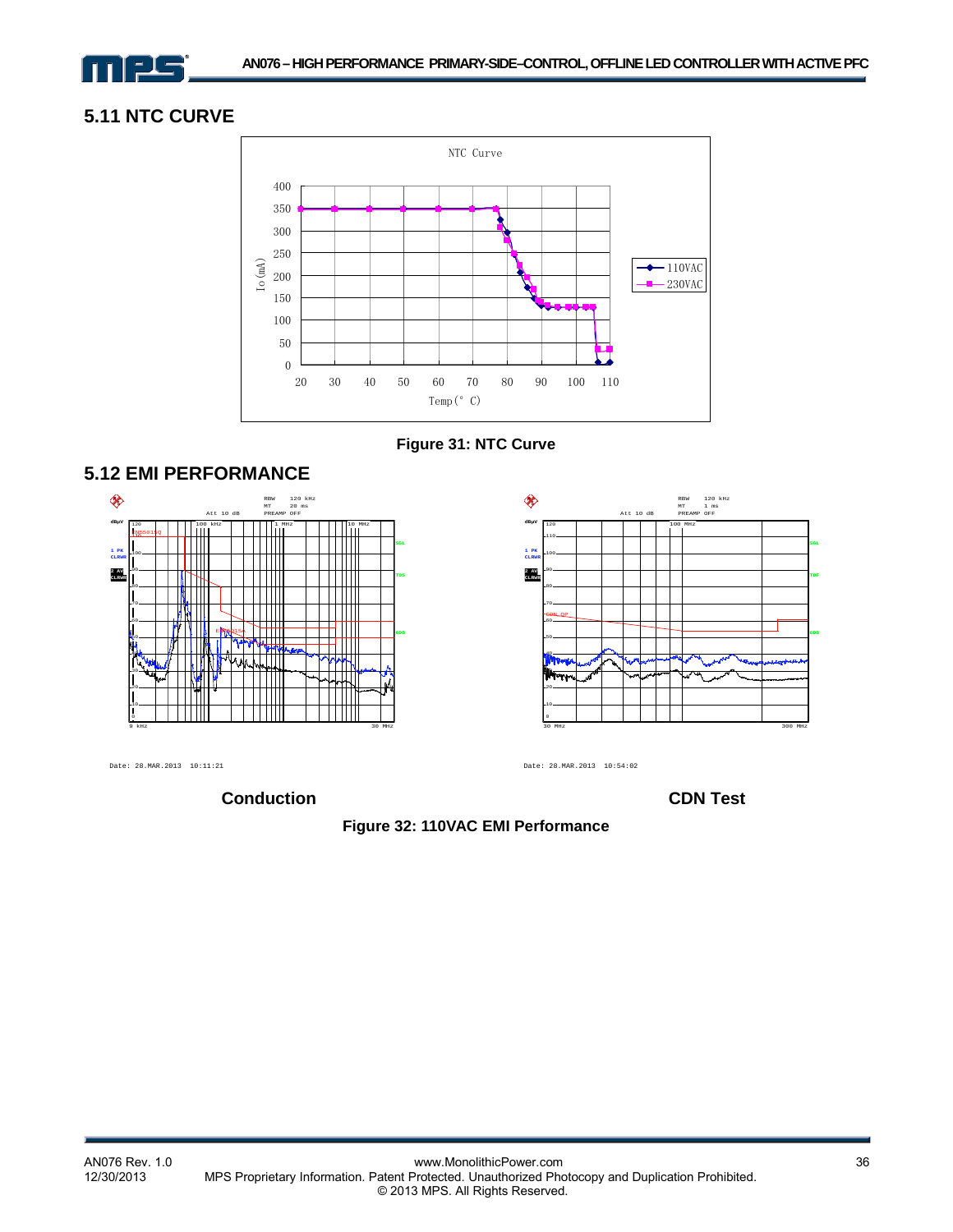

#### **5.11 NTC CURVE**











Date: 28.MAR.2013 10:11:21

**Conduction CDN Test** 

Date: 28.MAR.2013 10:54:02